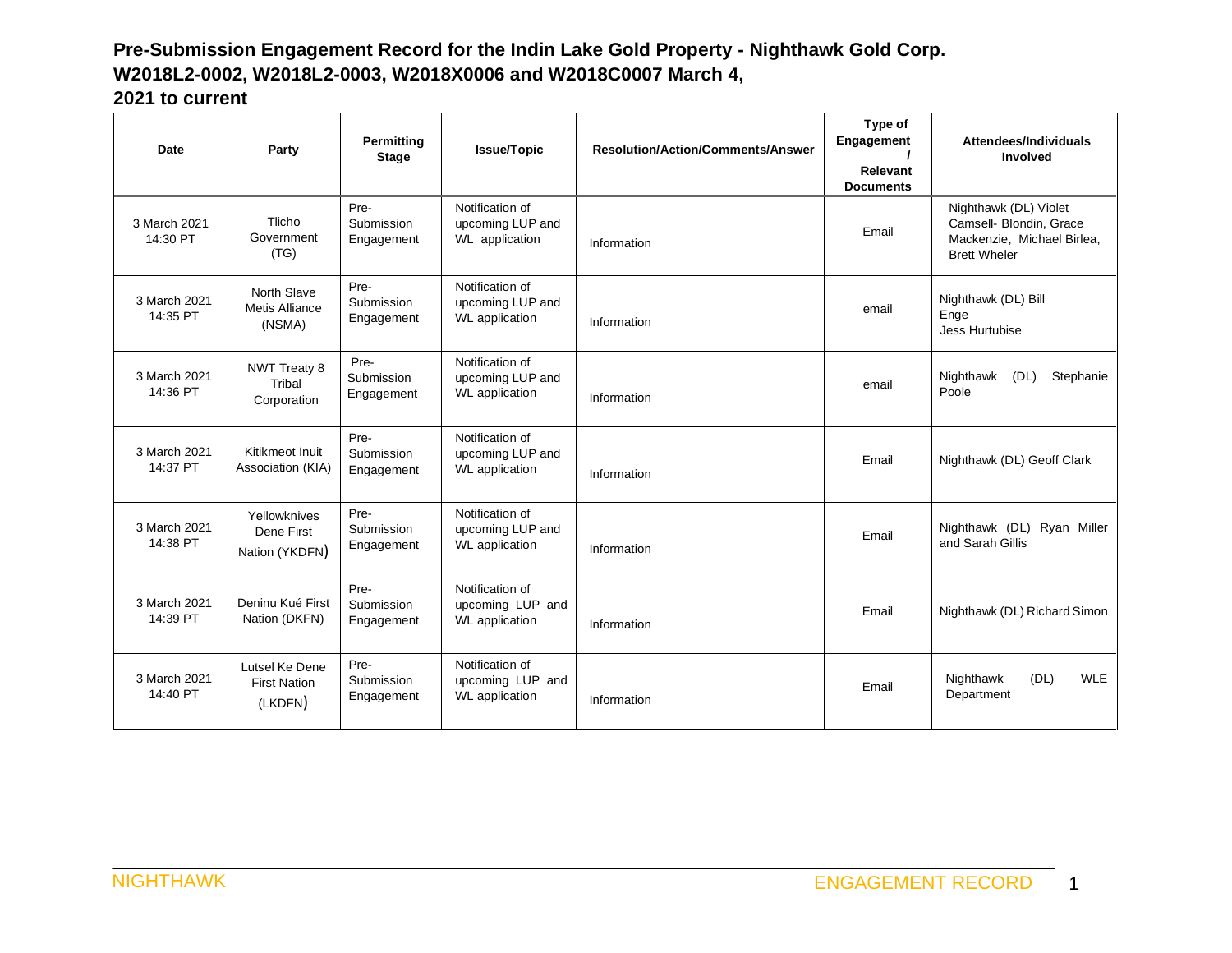| Date                     | Party                                            | Permitting<br><b>Stage</b>       | <b>Issue/Topic</b>                                           | <b>Resolution/Action/Comments/Answer</b> | Type of<br>Engagement<br>Relevant<br><b>Documents</b> | Attendees/Individuals<br>Involved                                                                     |
|--------------------------|--------------------------------------------------|----------------------------------|--------------------------------------------------------------|------------------------------------------|-------------------------------------------------------|-------------------------------------------------------------------------------------------------------|
| 3 March 2021<br>14:30 PT | Tlicho<br>Government<br>(TG)                     | Pre-<br>Submission<br>Engagement | Notification of<br>upcoming LUP and<br>WL application        | Information                              | Email                                                 | Nighthawk (DL) Violet<br>Camsell- Blondin, Grace<br>Mackenzie, Michael Birlea,<br><b>Brett Wheler</b> |
| 3 March 2021<br>14:35 PT | North Slave<br><b>Metis Alliance</b><br>(NSMA)   | Pre-<br>Submission<br>Engagement | Notification of<br>upcoming LUP and<br>WL application        | Information                              | email                                                 | Nighthawk (DL) Bill<br>Enge<br>Jess Hurtubise                                                         |
| 3 March 2021<br>14:36 PT | <b>NWT Treaty 8</b><br>Tribal<br>Corporation     | Pre-<br>Submission<br>Engagement | Notification of<br>upcoming LUP and<br><b>WL</b> application | Information                              | email                                                 | Nighthawk<br>(DL)<br>Stephanie<br>Poole                                                               |
| 3 March 2021<br>14:37 PT | Kitikmeot Inuit<br>Association (KIA)             | Pre-<br>Submission<br>Engagement | Notification of<br>upcoming LUP and<br>WL application        | Information                              | Email                                                 | Nighthawk (DL) Geoff Clark                                                                            |
| 3 March 2021<br>14:38 PT | Yellowknives<br>Dene First<br>Nation (YKDFN)     | Pre-<br>Submission<br>Engagement | Notification of<br>upcoming LUP and<br><b>WL</b> application | Information                              | Email                                                 | Nighthawk (DL) Ryan Miller<br>and Sarah Gillis                                                        |
| 3 March 2021<br>14:39 PT | Deninu Kué First<br>Nation (DKFN)                | Pre-<br>Submission<br>Engagement | Notification of<br>upcoming LUP and<br><b>WL</b> application | Information                              | Email                                                 | Nighthawk (DL) Richard Simon                                                                          |
| 3 March 2021<br>14:40 PT | Lutsel Ke Dene<br><b>First Nation</b><br>(LKDFN) | Pre-<br>Submission<br>Engagement | Notification of<br>upcoming LUP and<br><b>WL</b> application | Information                              | Email                                                 | (DL)<br><b>WLE</b><br>Nighthawk<br>Department                                                         |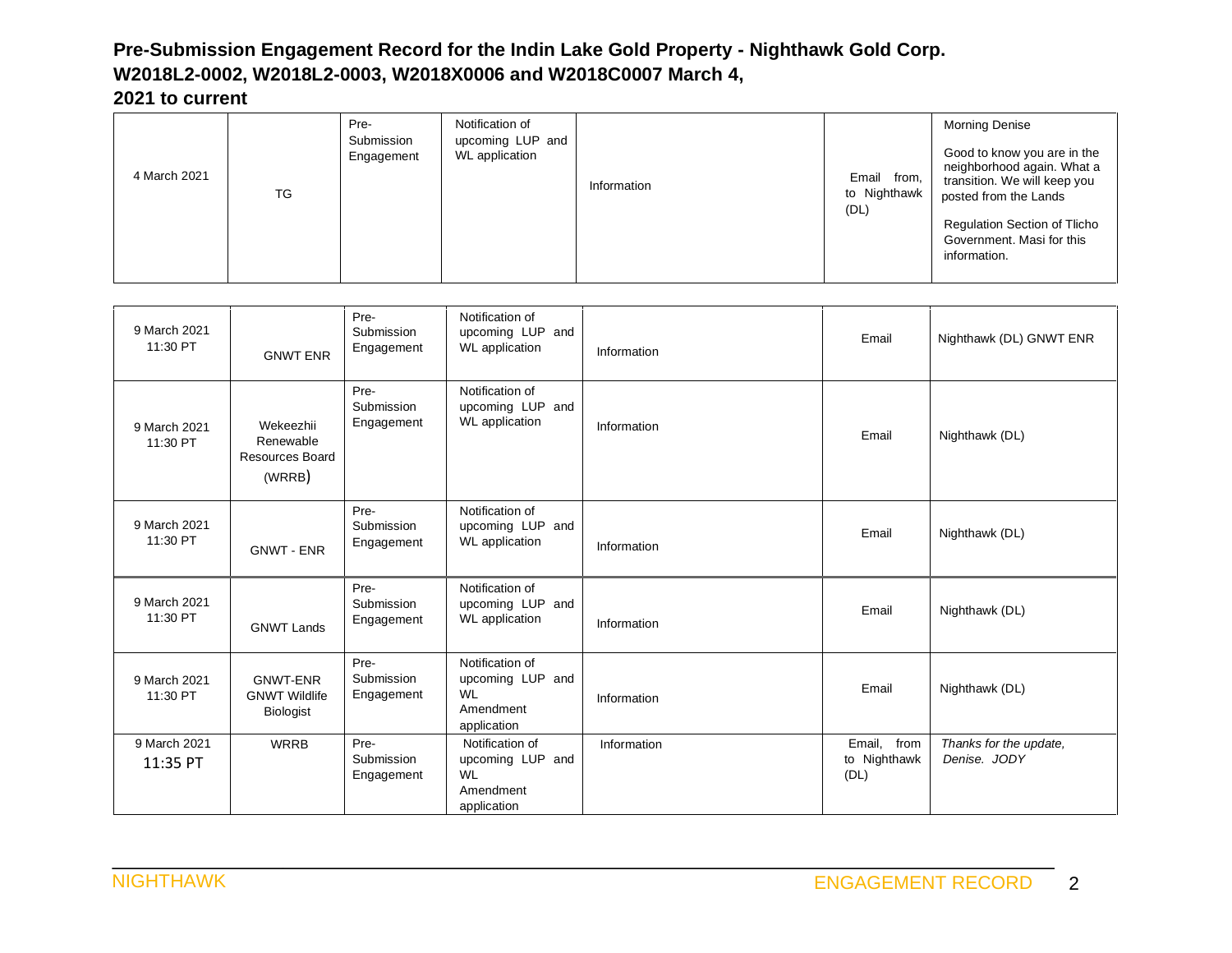|              |    | Pre-                     | Notification of                           |             |                                     | <b>Morning Denise</b>                                                                                                                                                                                  |
|--------------|----|--------------------------|-------------------------------------------|-------------|-------------------------------------|--------------------------------------------------------------------------------------------------------------------------------------------------------------------------------------------------------|
| 4 March 2021 | TG | Submission<br>Engagement | upcoming LUP and<br><b>WL</b> application | Information | Email from,<br>to Nighthawk<br>(DL) | Good to know you are in the<br>neighborhood again. What a<br>transition. We will keep you<br>posted from the Lands<br><b>Regulation Section of Tlicho</b><br>Government. Masi for this<br>information. |

| 9 March 2021<br>11:30 PT | <b>GNWT ENR</b>                                             | Pre-<br>Submission<br>Engagement | Notification of<br>upcoming LUP and<br><b>WL</b> application                 | Information | Email                               | Nighthawk (DL) GNWT ENR                |
|--------------------------|-------------------------------------------------------------|----------------------------------|------------------------------------------------------------------------------|-------------|-------------------------------------|----------------------------------------|
| 9 March 2021<br>11:30 PT | Wekeezhii<br>Renewable<br>Resources Board<br>(WRRB)         | Pre-<br>Submission<br>Engagement | Notification of<br>upcoming LUP and<br><b>WL</b> application                 | Information | Email                               | Nighthawk (DL)                         |
| 9 March 2021<br>11:30 PT | <b>GNWT - ENR</b>                                           | Pre-<br>Submission<br>Engagement | Notification of<br>upcoming LUP and<br><b>WL</b> application                 | Information | Email                               | Nighthawk (DL)                         |
| 9 March 2021<br>11:30 PT | <b>GNWT Lands</b>                                           | Pre-<br>Submission<br>Engagement | Notification of<br>upcoming LUP and<br><b>WL</b> application                 | Information | Email                               | Nighthawk (DL)                         |
| 9 March 2021<br>11:30 PT | <b>GNWT-ENR</b><br><b>GNWT Wildlife</b><br><b>Biologist</b> | Pre-<br>Submission<br>Engagement | Notification of<br>upcoming LUP and<br><b>WL</b><br>Amendment<br>application | Information | Email                               | Nighthawk (DL)                         |
| 9 March 2021<br>11:35 PT | <b>WRRB</b>                                                 | Pre-<br>Submission<br>Engagement | Notification of<br>upcoming LUP and<br><b>WL</b><br>Amendment<br>application | Information | Email, from<br>to Nighthawk<br>(DL) | Thanks for the update,<br>Denise, JODY |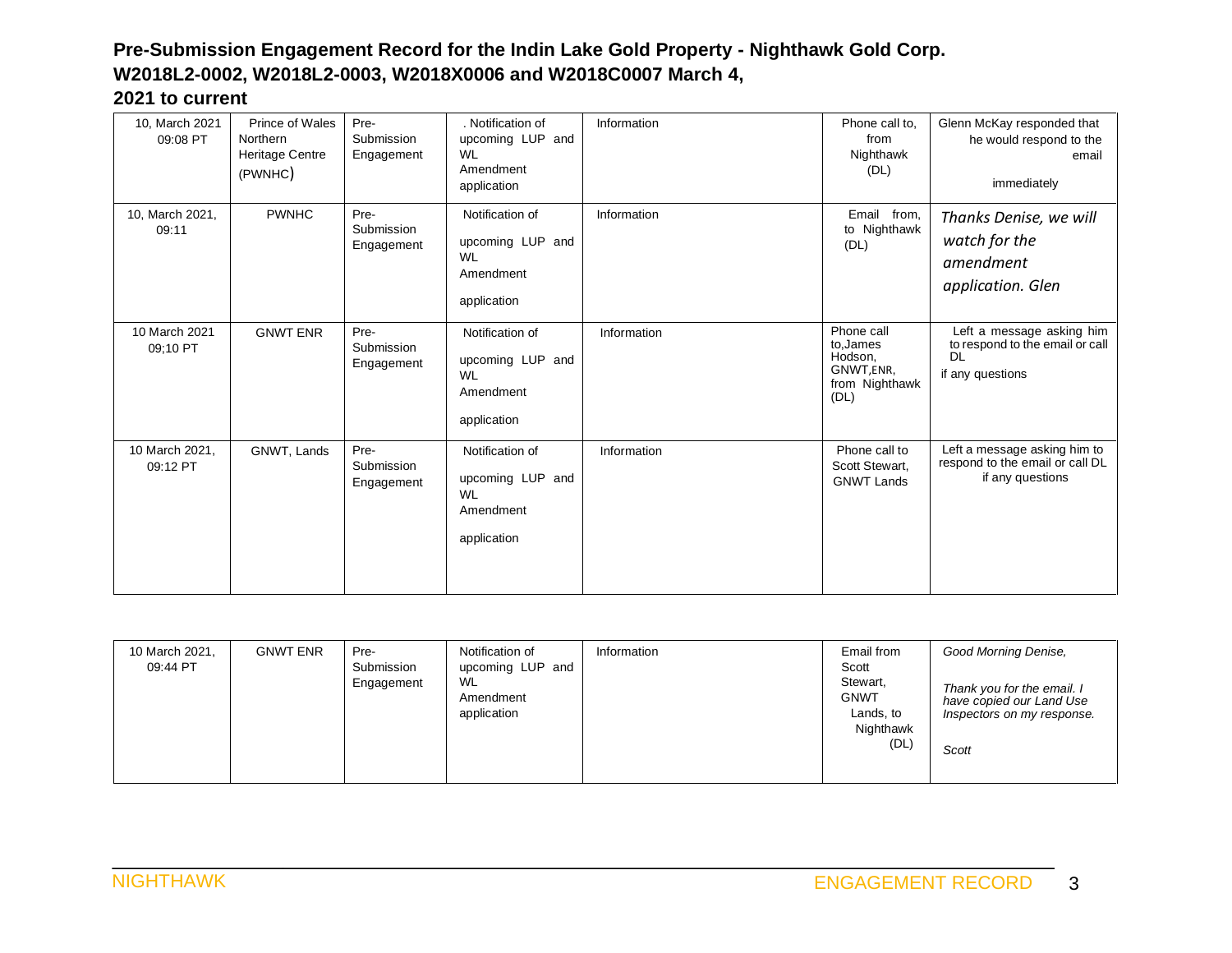| 10, March 2021<br>09:08 PT | Prince of Wales<br>Northern<br><b>Heritage Centre</b><br>(PWNHC) | Pre-<br>Submission<br>Engagement | . Notification of<br>upcoming LUP and<br><b>WL</b><br>Amendment<br>application | Information | Phone call to.<br>from<br>Nighthawk<br>(DL)                               | Glenn McKay responded that<br>he would respond to the<br>email<br>immediately                 |
|----------------------------|------------------------------------------------------------------|----------------------------------|--------------------------------------------------------------------------------|-------------|---------------------------------------------------------------------------|-----------------------------------------------------------------------------------------------|
| 10, March 2021,<br>09:11   | <b>PWNHC</b>                                                     | Pre-<br>Submission<br>Engagement | Notification of<br>upcoming LUP and<br><b>WL</b><br>Amendment<br>application   | Information | Email from,<br>to Nighthawk<br>(DL)                                       | Thanks Denise, we will<br>watch for the<br>amendment<br>application. Glen                     |
| 10 March 2021<br>09:10 PT  | <b>GNWT ENR</b>                                                  | Pre-<br>Submission<br>Engagement | Notification of<br>upcoming LUP and<br><b>WL</b><br>Amendment<br>application   | Information | Phone call<br>to, James<br>Hodson,<br>GNWT,ENR,<br>from Nighthawk<br>(DL) | Left a message asking him<br>to respond to the email or call<br><b>DL</b><br>if any questions |
| 10 March 2021,<br>09:12 PT | GNWT, Lands                                                      | Pre-<br>Submission<br>Engagement | Notification of<br>upcoming LUP and<br><b>WL</b><br>Amendment<br>application   | Information | Phone call to<br>Scott Stewart,<br><b>GNWT Lands</b>                      | Left a message asking him to<br>respond to the email or call DL<br>if any questions           |

| 10 March 2021,<br>09:44 PT | <b>GNWT ENR</b><br>Pre-<br>Submission<br>Engagement | Notification of<br>upcoming LUP and<br><b>WL</b><br>Amendment<br>application | Information | Email from<br>Scott<br>Stewart,<br><b>GNWT</b><br>Lands, to<br>Nighthawk<br>(DL) | Good Morning Denise,<br>Thank you for the email. I<br>have copied our Land Use<br>Inspectors on my response.<br>Scott |
|----------------------------|-----------------------------------------------------|------------------------------------------------------------------------------|-------------|----------------------------------------------------------------------------------|-----------------------------------------------------------------------------------------------------------------------|
|----------------------------|-----------------------------------------------------|------------------------------------------------------------------------------|-------------|----------------------------------------------------------------------------------|-----------------------------------------------------------------------------------------------------------------------|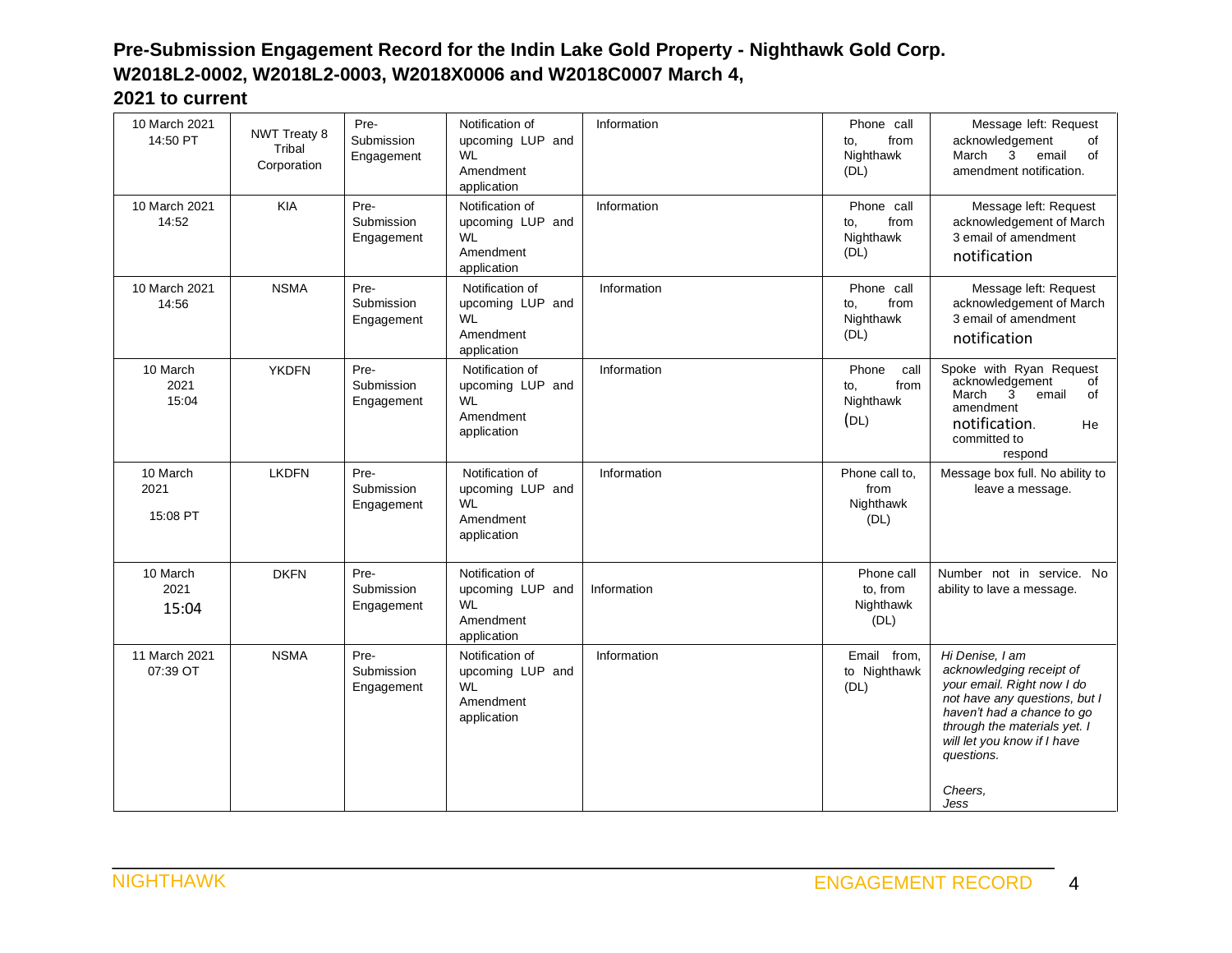| 10 March 2021<br>14:50 PT    | <b>NWT Treaty 8</b><br>Tribal<br>Corporation | Pre-<br>Submission<br>Engagement | Notification of<br>upcoming LUP and<br>WL<br>Amendment<br>application        | Information | Phone call<br>from<br>to,<br>Nighthawk<br>(DL)    | Message left: Request<br>acknowledgement<br>of<br>March<br>3<br>email<br>of<br>amendment notification.                                                                                                                                   |
|------------------------------|----------------------------------------------|----------------------------------|------------------------------------------------------------------------------|-------------|---------------------------------------------------|------------------------------------------------------------------------------------------------------------------------------------------------------------------------------------------------------------------------------------------|
| 10 March 2021<br>14:52       | <b>KIA</b>                                   | Pre-<br>Submission<br>Engagement | Notification of<br>upcoming LUP and<br>WI<br>Amendment<br>application        | Information | Phone call<br>from<br>to,<br>Nighthawk<br>(DL)    | Message left: Request<br>acknowledgement of March<br>3 email of amendment<br>notification                                                                                                                                                |
| 10 March 2021<br>14:56       | <b>NSMA</b>                                  | Pre-<br>Submission<br>Engagement | Notification of<br>upcoming LUP and<br><b>WL</b><br>Amendment<br>application | Information | Phone call<br>from<br>to,<br>Nighthawk<br>(DL)    | Message left: Request<br>acknowledgement of March<br>3 email of amendment<br>notification                                                                                                                                                |
| 10 March<br>2021<br>15:04    | <b>YKDFN</b>                                 | Pre-<br>Submission<br>Engagement | Notification of<br>upcoming LUP and<br><b>WL</b><br>Amendment<br>application | Information | Phone<br>call<br>from<br>to,<br>Nighthawk<br>(DL) | Spoke with Ryan Request<br>acknowledgement<br>of<br>March<br>$\overline{3}$<br>email<br>of<br>amendment<br>notification.<br>He<br>committed to<br>respond                                                                                |
| 10 March<br>2021<br>15:08 PT | <b>LKDFN</b>                                 | Pre-<br>Submission<br>Engagement | Notification of<br>upcoming LUP and<br><b>WL</b><br>Amendment<br>application | Information | Phone call to.<br>from<br>Nighthawk<br>(DL)       | Message box full. No ability to<br>leave a message.                                                                                                                                                                                      |
| 10 March<br>2021<br>15:04    | <b>DKFN</b>                                  | Pre-<br>Submission<br>Engagement | Notification of<br>upcoming LUP and<br><b>WL</b><br>Amendment<br>application | Information | Phone call<br>to, from<br>Nighthawk<br>(DL)       | Number not in service. No<br>ability to lave a message.                                                                                                                                                                                  |
| 11 March 2021<br>07:39 OT    | <b>NSMA</b>                                  | Pre-<br>Submission<br>Engagement | Notification of<br>upcoming LUP and<br><b>WL</b><br>Amendment<br>application | Information | Email from,<br>to Nighthawk<br>(DL)               | Hi Denise, I am<br>acknowledging receipt of<br>your email. Right now I do<br>not have any questions, but I<br>haven't had a chance to go<br>through the materials yet. I<br>will let you know if I have<br>questions.<br>Cheers.<br>Jess |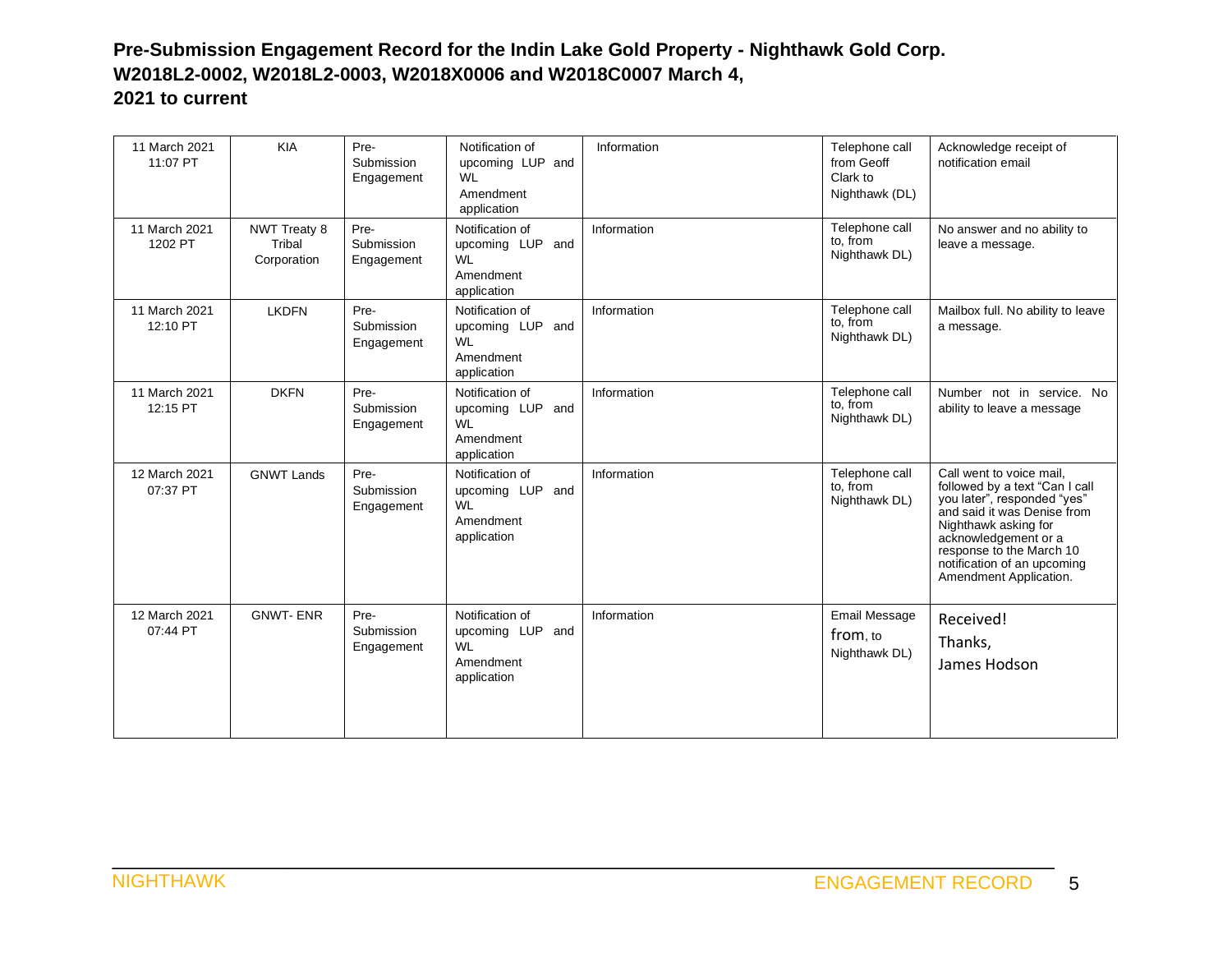| 11 March 2021<br>11:07 PT | <b>KIA</b>                                   | Pre-<br>Submission<br>Engagement | Notification of<br>upcoming LUP and<br><b>WL</b><br>Amendment<br>application | Information | Telephone call<br>from Geoff<br>Clark to<br>Nighthawk (DL) | Acknowledge receipt of<br>notification email                                                                                                                                                                                                                  |
|---------------------------|----------------------------------------------|----------------------------------|------------------------------------------------------------------------------|-------------|------------------------------------------------------------|---------------------------------------------------------------------------------------------------------------------------------------------------------------------------------------------------------------------------------------------------------------|
| 11 March 2021<br>1202 PT  | <b>NWT Treaty 8</b><br>Tribal<br>Corporation | Pre-<br>Submission<br>Engagement | Notification of<br>upcoming LUP and<br><b>WL</b><br>Amendment<br>application | Information | Telephone call<br>to, from<br>Nighthawk DL)                | No answer and no ability to<br>leave a message.                                                                                                                                                                                                               |
| 11 March 2021<br>12:10 PT | <b>LKDFN</b>                                 | Pre-<br>Submission<br>Engagement | Notification of<br>upcoming LUP and<br><b>WL</b><br>Amendment<br>application | Information | Telephone call<br>to, from<br>Nighthawk DL)                | Mailbox full. No ability to leave<br>a message.                                                                                                                                                                                                               |
| 11 March 2021<br>12:15 PT | <b>DKFN</b>                                  | Pre-<br>Submission<br>Engagement | Notification of<br>upcoming LUP and<br><b>WL</b><br>Amendment<br>application | Information | Telephone call<br>to, from<br>Nighthawk DL)                | Number not in service. No<br>ability to leave a message                                                                                                                                                                                                       |
| 12 March 2021<br>07:37 PT | <b>GNWT Lands</b>                            | Pre-<br>Submission<br>Engagement | Notification of<br>upcoming LUP and<br><b>WL</b><br>Amendment<br>application | Information | Telephone call<br>to, from<br>Nighthawk DL)                | Call went to voice mail.<br>followed by a text "Can I call<br>you later", responded "yes"<br>and said it was Denise from<br>Nighthawk asking for<br>acknowledgement or a<br>response to the March 10<br>notification of an upcoming<br>Amendment Application. |
| 12 March 2021<br>07:44 PT | <b>GNWT-ENR</b>                              | Pre-<br>Submission<br>Engagement | Notification of<br>upcoming LUP and<br><b>WL</b><br>Amendment<br>application | Information | Email Message<br>from, to<br>Nighthawk DL)                 | Received!<br>Thanks,<br>James Hodson                                                                                                                                                                                                                          |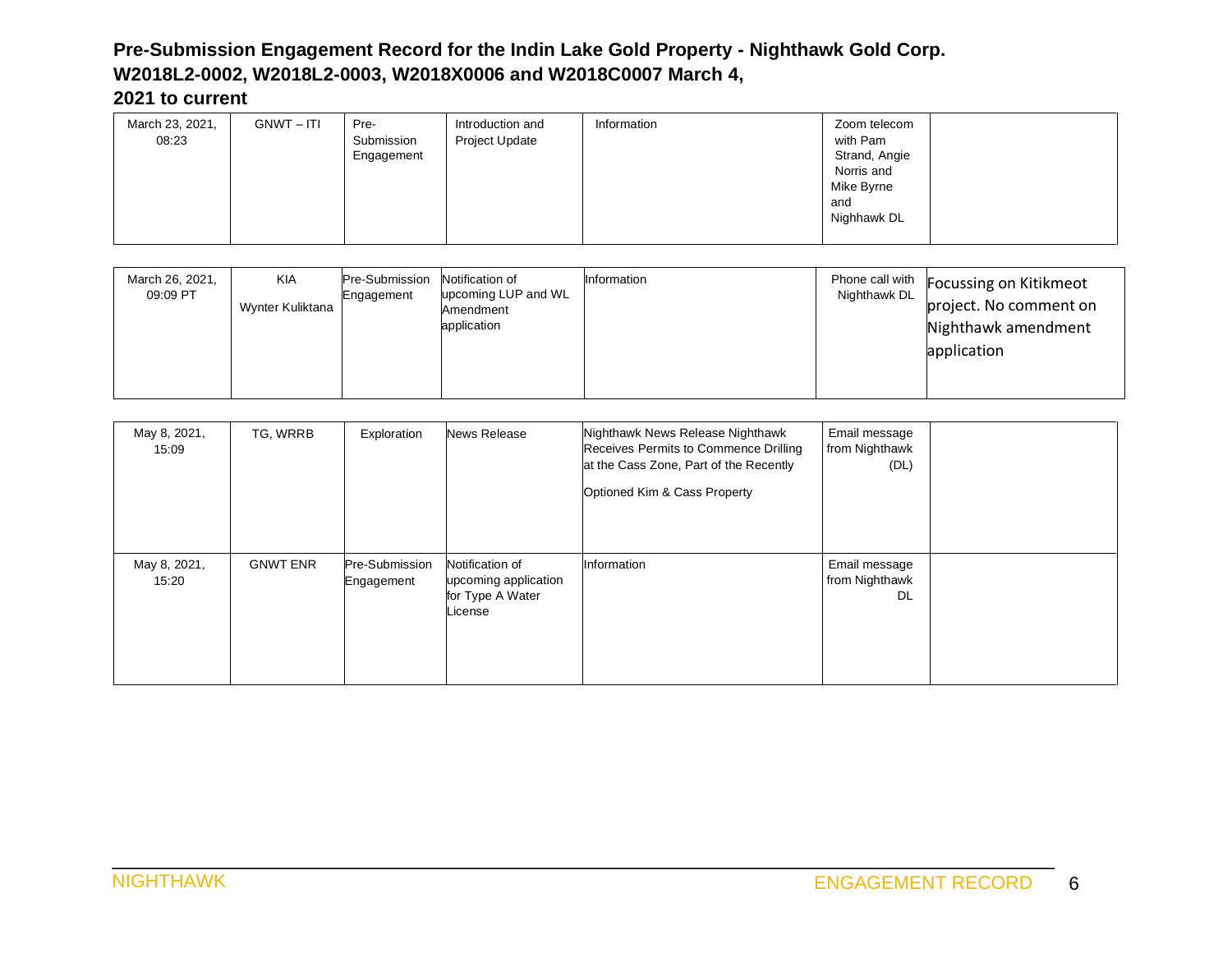| <b>GNWT-ITI</b><br>March 23, 2021,<br>08:23 | Introduction and<br>Pre-<br>Submission<br>Project Update<br>Engagement | Information | Zoom telecom<br>with Pam<br>Strand, Angie<br>Norris and<br>Mike Byrne<br>and<br>Nighhawk DL |
|---------------------------------------------|------------------------------------------------------------------------|-------------|---------------------------------------------------------------------------------------------|
|---------------------------------------------|------------------------------------------------------------------------|-------------|---------------------------------------------------------------------------------------------|

| March 26, 2021,<br>09:09 PT | <b>KIA</b><br>Wynter Kuliktana | Pre-Submission<br>Engagement | Notification of<br>upcoming LUP and WL<br>Amendment<br>application | Information | Nighthawk DL | Phone call with Focussing on Kitikmeot<br>project. No comment on<br>Nighthawk amendment<br>application |
|-----------------------------|--------------------------------|------------------------------|--------------------------------------------------------------------|-------------|--------------|--------------------------------------------------------------------------------------------------------|
|-----------------------------|--------------------------------|------------------------------|--------------------------------------------------------------------|-------------|--------------|--------------------------------------------------------------------------------------------------------|

| May 8, 2021,<br>15:09 | TG, WRRB        | Exploration                  | <b>News Release</b>                                                    | Nighthawk News Release Nighthawk<br>Receives Permits to Commence Drilling<br>at the Cass Zone, Part of the Recently<br>Optioned Kim & Cass Property | Email message<br>from Nighthawk<br>(DL)      |  |
|-----------------------|-----------------|------------------------------|------------------------------------------------------------------------|-----------------------------------------------------------------------------------------------------------------------------------------------------|----------------------------------------------|--|
| May 8, 2021,<br>15:20 | <b>GNWT ENR</b> | Pre-Submission<br>Engagement | Notification of<br>upcoming application<br>for Type A Water<br>License | Information                                                                                                                                         | Email message<br>from Nighthawk<br><b>DL</b> |  |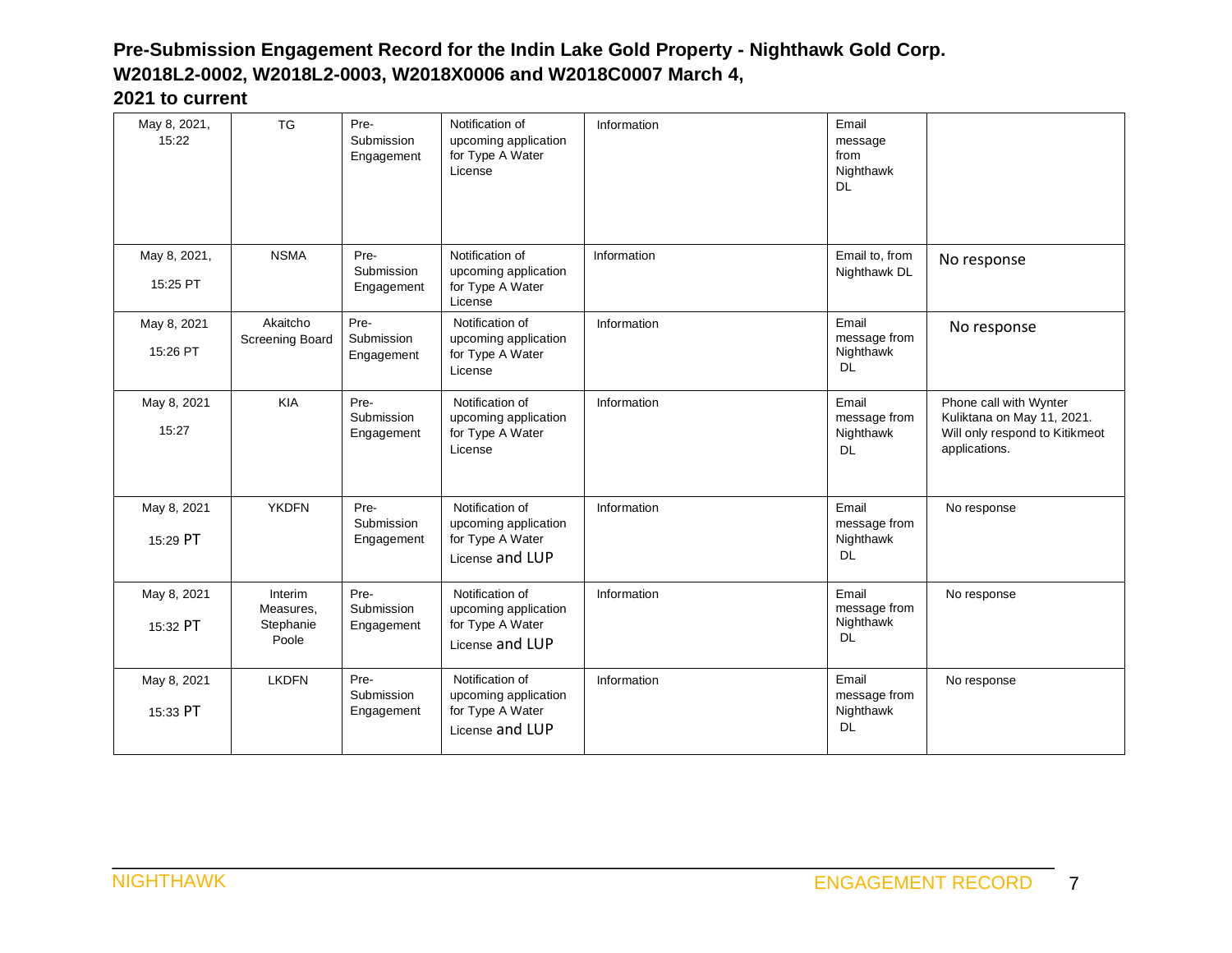| May 8, 2021,<br>15:22    | <b>TG</b>                                  | Pre-<br>Submission<br>Engagement | Notification of<br>upcoming application<br>for Type A Water<br>License         | Information | Email<br>message<br>from<br>Nighthawk<br><b>DL</b> |                                                                                                         |
|--------------------------|--------------------------------------------|----------------------------------|--------------------------------------------------------------------------------|-------------|----------------------------------------------------|---------------------------------------------------------------------------------------------------------|
| May 8, 2021,<br>15:25 PT | <b>NSMA</b>                                | Pre-<br>Submission<br>Engagement | Notification of<br>upcoming application<br>for Type A Water<br>License         | Information | Email to, from<br>Nighthawk DL                     | No response                                                                                             |
| May 8, 2021<br>15:26 PT  | Akaitcho<br>Screening Board                | Pre-<br>Submission<br>Engagement | Notification of<br>upcoming application<br>for Type A Water<br>License         | Information | Email<br>message from<br>Nighthawk<br>DL           | No response                                                                                             |
| May 8, 2021<br>15:27     | <b>KIA</b>                                 | Pre-<br>Submission<br>Engagement | Notification of<br>upcoming application<br>for Type A Water<br>License         | Information | Email<br>message from<br>Nighthawk<br><b>DL</b>    | Phone call with Wynter<br>Kuliktana on May 11, 2021.<br>Will only respond to Kitikmeot<br>applications. |
| May 8, 2021<br>15:29 PT  | <b>YKDFN</b>                               | Pre-<br>Submission<br>Engagement | Notification of<br>upcoming application<br>for Type A Water<br>License and LUP | Information | Email<br>message from<br>Nighthawk<br><b>DL</b>    | No response                                                                                             |
| May 8, 2021<br>15:32 PT  | Interim<br>Measures,<br>Stephanie<br>Poole | Pre-<br>Submission<br>Engagement | Notification of<br>upcoming application<br>for Type A Water<br>License and LUP | Information | Email<br>message from<br>Nighthawk<br><b>DL</b>    | No response                                                                                             |
| May 8, 2021<br>15:33 PT  | <b>LKDFN</b>                               | Pre-<br>Submission<br>Engagement | Notification of<br>upcoming application<br>for Type A Water<br>License and LUP | Information | Email<br>message from<br>Nighthawk<br><b>DL</b>    | No response                                                                                             |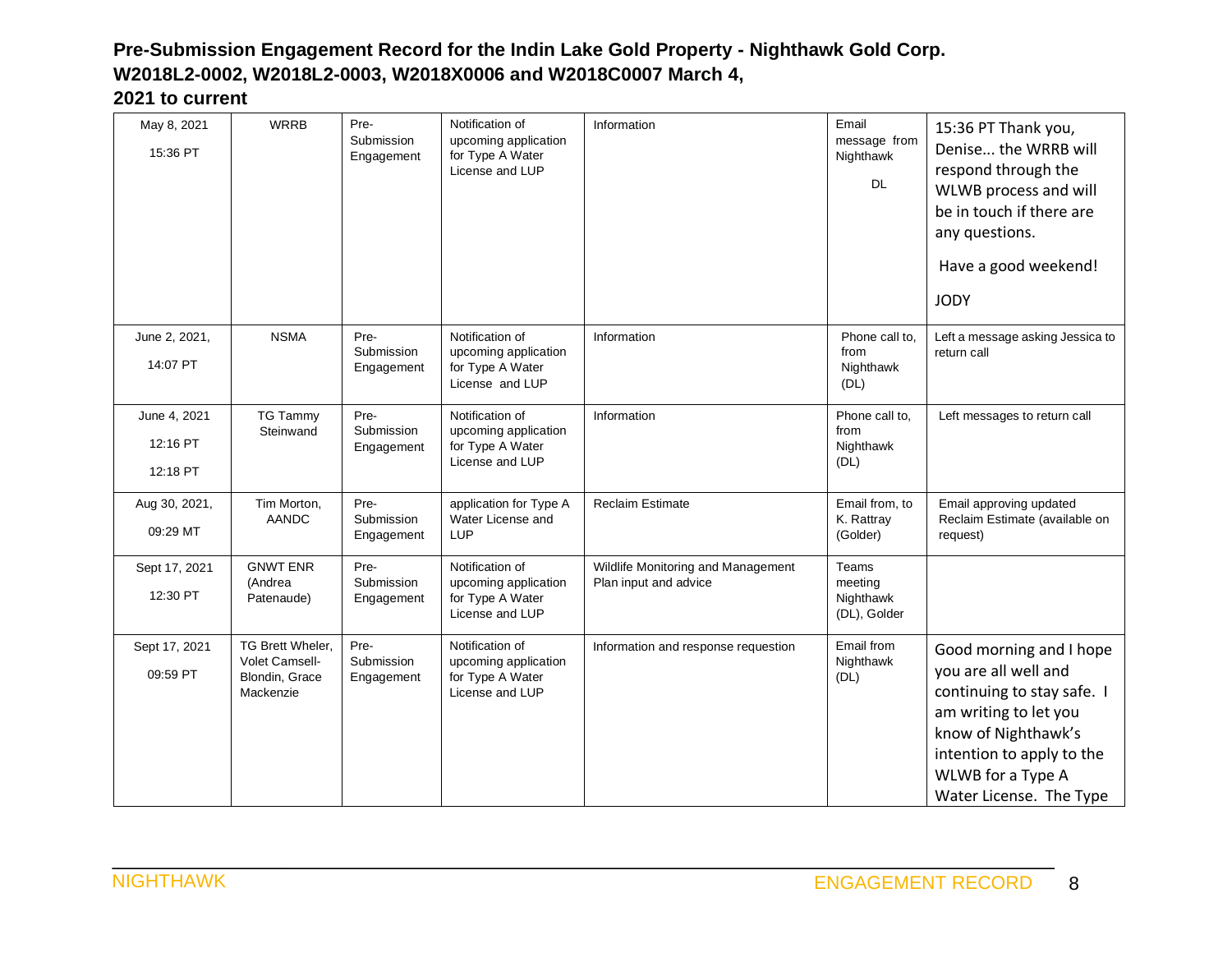| May 8, 2021<br>15:36 PT              | <b>WRRB</b>                                                       | Pre-<br>Submission<br>Engagement | Notification of<br>upcoming application<br>for Type A Water<br>License and LUP | Information                                                 | Email<br>message from<br>Nighthawk<br><b>DL</b> | 15:36 PT Thank you,<br>Denise the WRRB will<br>respond through the<br>WLWB process and will<br>be in touch if there are<br>any questions.<br>Have a good weekend!<br><b>JODY</b>                           |
|--------------------------------------|-------------------------------------------------------------------|----------------------------------|--------------------------------------------------------------------------------|-------------------------------------------------------------|-------------------------------------------------|------------------------------------------------------------------------------------------------------------------------------------------------------------------------------------------------------------|
| June 2, 2021,<br>14:07 PT            | <b>NSMA</b>                                                       | Pre-<br>Submission<br>Engagement | Notification of<br>upcoming application<br>for Type A Water<br>License and LUP | Information                                                 | Phone call to,<br>from<br>Nighthawk<br>(DL)     | Left a message asking Jessica to<br>return call                                                                                                                                                            |
| June 4, 2021<br>12:16 PT<br>12:18 PT | <b>TG Tammy</b><br>Steinwand                                      | Pre-<br>Submission<br>Engagement | Notification of<br>upcoming application<br>for Type A Water<br>License and LUP | Information                                                 | Phone call to,<br>from<br>Nighthawk<br>(DL)     | Left messages to return call                                                                                                                                                                               |
| Aug 30, 2021,<br>09:29 MT            | Tim Morton,<br><b>AANDC</b>                                       | Pre-<br>Submission<br>Engagement | application for Type A<br>Water License and<br>LUP                             | <b>Reclaim Estimate</b>                                     | Email from, to<br>K. Rattray<br>(Golder)        | Email approving updated<br>Reclaim Estimate (available on<br>request)                                                                                                                                      |
| Sept 17, 2021<br>12:30 PT            | <b>GNWT ENR</b><br>(Andrea<br>Patenaude)                          | Pre-<br>Submission<br>Engagement | Notification of<br>upcoming application<br>for Type A Water<br>License and LUP | Wildlife Monitoring and Management<br>Plan input and advice | Teams<br>meeting<br>Nighthawk<br>(DL), Golder   |                                                                                                                                                                                                            |
| Sept 17, 2021<br>09:59 PT            | TG Brett Wheler.<br>Volet Camsell-<br>Blondin, Grace<br>Mackenzie | Pre-<br>Submission<br>Engagement | Notification of<br>upcoming application<br>for Type A Water<br>License and LUP | Information and response requestion                         | Email from<br>Nighthawk<br>(DL)                 | Good morning and I hope<br>you are all well and<br>continuing to stay safe. I<br>am writing to let you<br>know of Nighthawk's<br>intention to apply to the<br>WLWB for a Type A<br>Water License. The Type |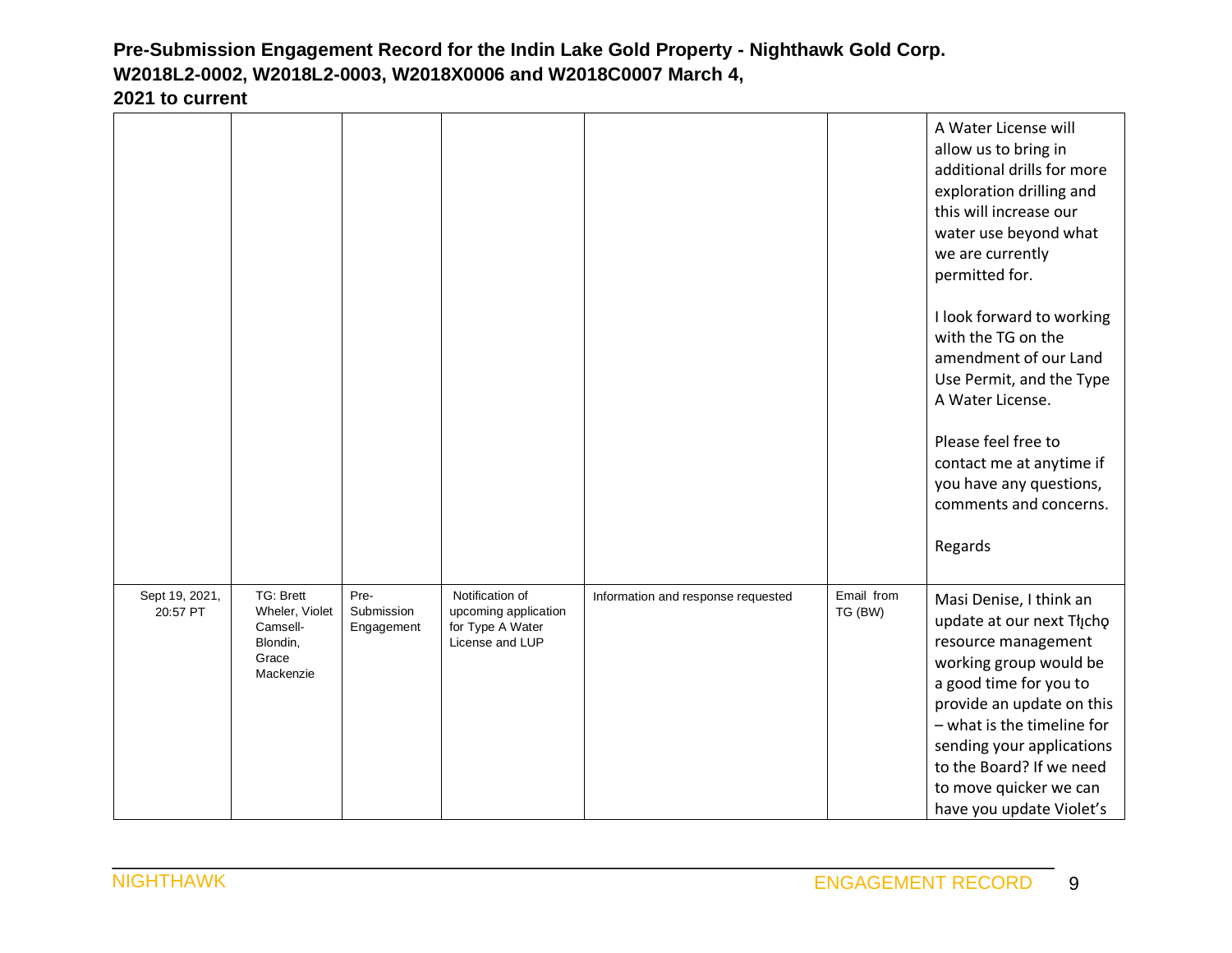|                            |                                                                           |                                  |                                                                                |                                    |                       | A Water License will<br>allow us to bring in<br>additional drills for more<br>exploration drilling and<br>this will increase our<br>water use beyond what<br>we are currently<br>permitted for.<br>I look forward to working<br>with the TG on the<br>amendment of our Land<br>Use Permit, and the Type<br>A Water License.<br>Please feel free to<br>contact me at anytime if<br>you have any questions,<br>comments and concerns.<br>Regards |
|----------------------------|---------------------------------------------------------------------------|----------------------------------|--------------------------------------------------------------------------------|------------------------------------|-----------------------|------------------------------------------------------------------------------------------------------------------------------------------------------------------------------------------------------------------------------------------------------------------------------------------------------------------------------------------------------------------------------------------------------------------------------------------------|
| Sept 19, 2021,<br>20:57 PT | TG: Brett<br>Wheler, Violet<br>Camsell-<br>Blondin,<br>Grace<br>Mackenzie | Pre-<br>Submission<br>Engagement | Notification of<br>upcoming application<br>for Type A Water<br>License and LUP | Information and response requested | Email from<br>TG (BW) | Masi Denise, I think an<br>update at our next Tłįcho<br>resource management<br>working group would be<br>a good time for you to<br>provide an update on this<br>- what is the timeline for<br>sending your applications<br>to the Board? If we need<br>to move quicker we can<br>have you update Violet's                                                                                                                                      |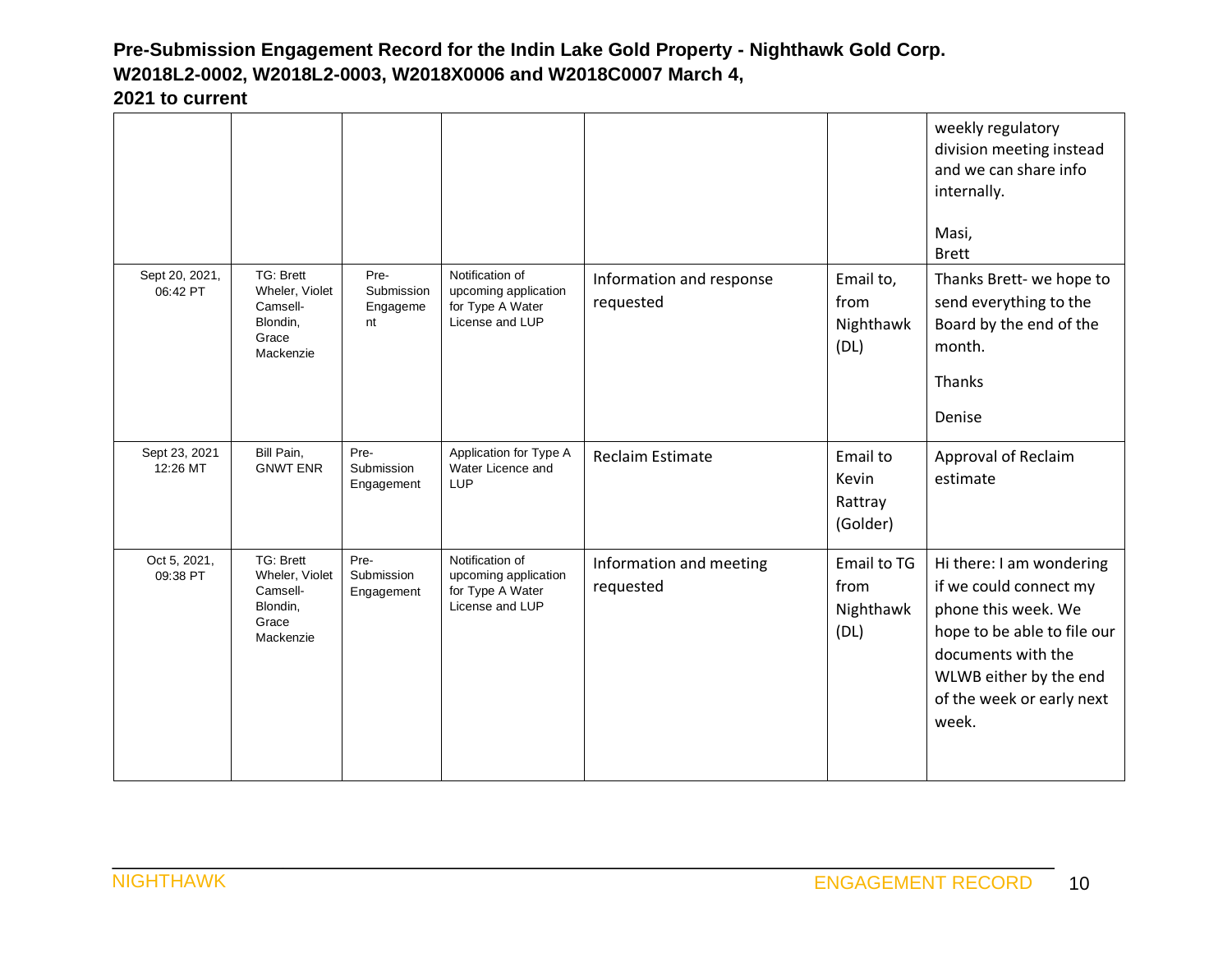|                            |                                                                           |                                      |                                                                                |                                       |                                          | weekly regulatory<br>division meeting instead<br>and we can share info<br>internally.<br>Masi,<br><b>Brett</b>                                                                                 |
|----------------------------|---------------------------------------------------------------------------|--------------------------------------|--------------------------------------------------------------------------------|---------------------------------------|------------------------------------------|------------------------------------------------------------------------------------------------------------------------------------------------------------------------------------------------|
| Sept 20, 2021,<br>06:42 PT | TG: Brett<br>Wheler, Violet<br>Camsell-<br>Blondin,<br>Grace<br>Mackenzie | Pre-<br>Submission<br>Engageme<br>nt | Notification of<br>upcoming application<br>for Type A Water<br>License and LUP | Information and response<br>requested | Email to,<br>from<br>Nighthawk<br>(DL)   | Thanks Brett- we hope to<br>send everything to the<br>Board by the end of the<br>month.<br><b>Thanks</b><br>Denise                                                                             |
| Sept 23, 2021<br>12:26 MT  | Bill Pain,<br><b>GNWT ENR</b>                                             | Pre-<br>Submission<br>Engagement     | Application for Type A<br>Water Licence and<br><b>LUP</b>                      | <b>Reclaim Estimate</b>               | Email to<br>Kevin<br>Rattray<br>(Golder) | Approval of Reclaim<br>estimate                                                                                                                                                                |
| Oct 5, 2021,<br>09:38 PT   | TG: Brett<br>Wheler, Violet<br>Camsell-<br>Blondin,<br>Grace<br>Mackenzie | Pre-<br>Submission<br>Engagement     | Notification of<br>upcoming application<br>for Type A Water<br>License and LUP | Information and meeting<br>requested  | Email to TG<br>from<br>Nighthawk<br>(DL) | Hi there: I am wondering<br>if we could connect my<br>phone this week. We<br>hope to be able to file our<br>documents with the<br>WLWB either by the end<br>of the week or early next<br>week. |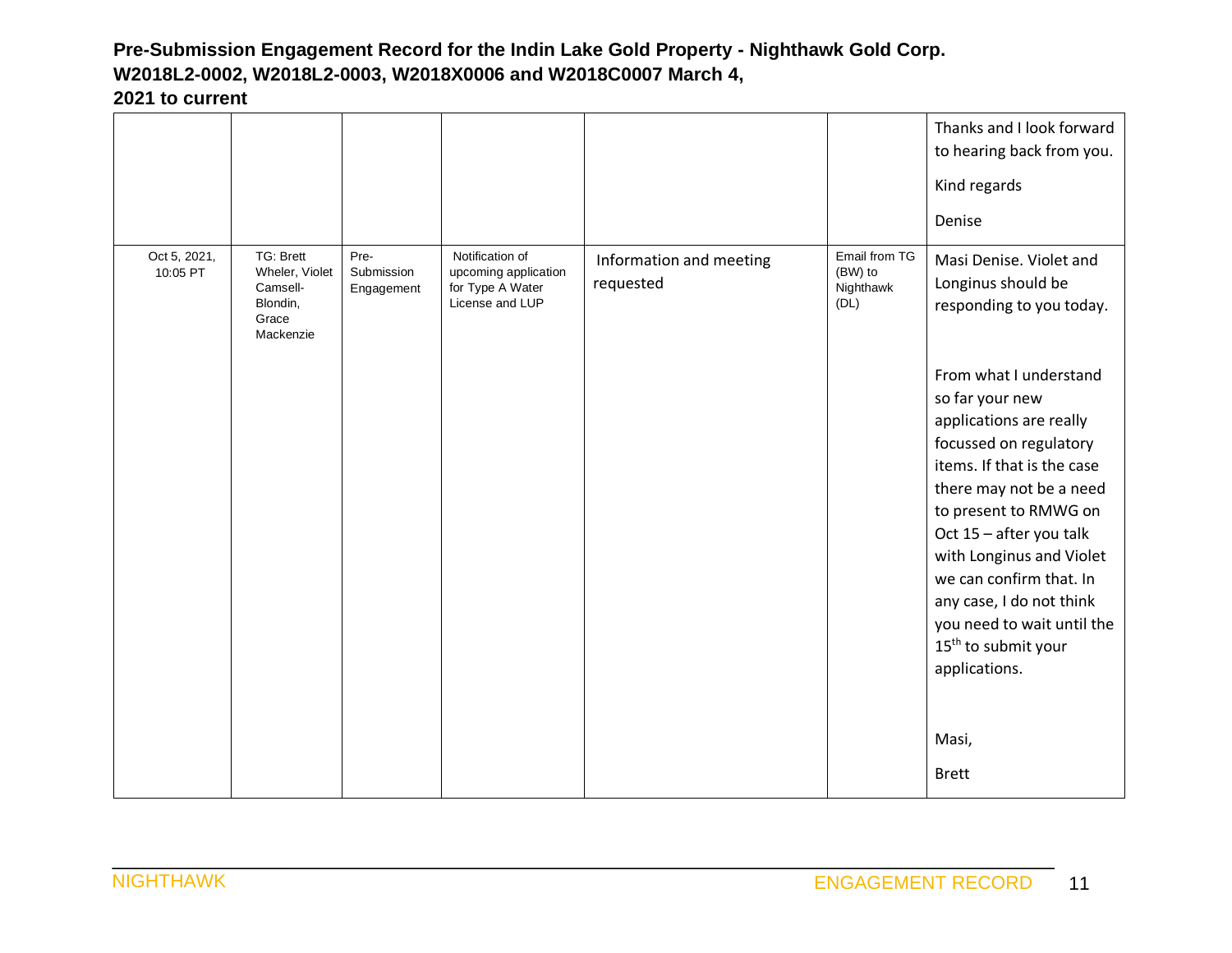|                          |                                                                           |                                  |                                                                                |                                      |                                               | Thanks and I look forward<br>to hearing back from you.<br>Kind regards<br>Denise                                                                                                                                                                                                                                                                                                                                                                                                       |
|--------------------------|---------------------------------------------------------------------------|----------------------------------|--------------------------------------------------------------------------------|--------------------------------------|-----------------------------------------------|----------------------------------------------------------------------------------------------------------------------------------------------------------------------------------------------------------------------------------------------------------------------------------------------------------------------------------------------------------------------------------------------------------------------------------------------------------------------------------------|
| Oct 5, 2021,<br>10:05 PT | TG: Brett<br>Wheler, Violet<br>Camsell-<br>Blondin,<br>Grace<br>Mackenzie | Pre-<br>Submission<br>Engagement | Notification of<br>upcoming application<br>for Type A Water<br>License and LUP | Information and meeting<br>requested | Email from TG<br>(BW) to<br>Nighthawk<br>(DL) | Masi Denise. Violet and<br>Longinus should be<br>responding to you today.<br>From what I understand<br>so far your new<br>applications are really<br>focussed on regulatory<br>items. If that is the case<br>there may not be a need<br>to present to RMWG on<br>Oct 15 - after you talk<br>with Longinus and Violet<br>we can confirm that. In<br>any case, I do not think<br>you need to wait until the<br>15 <sup>th</sup> to submit your<br>applications.<br>Masi,<br><b>Brett</b> |
|                          |                                                                           |                                  |                                                                                |                                      |                                               |                                                                                                                                                                                                                                                                                                                                                                                                                                                                                        |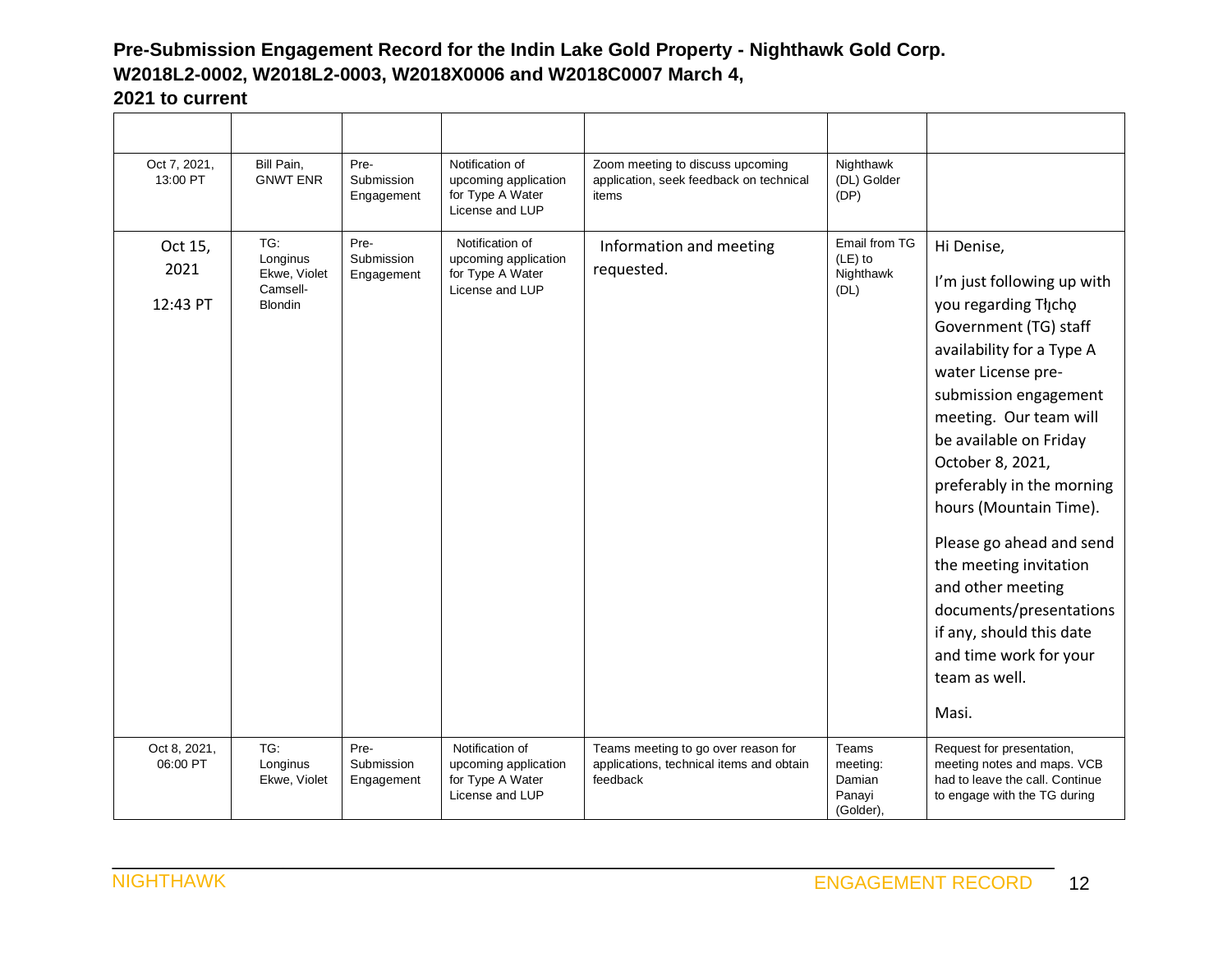| Oct 7, 2021,<br>13:00 PT    | Bill Pain,<br><b>GNWT ENR</b>                                 | Pre-<br>Submission<br>Engagement | Notification of<br>upcoming application<br>for Type A Water<br>License and LUP | Zoom meeting to discuss upcoming<br>application, seek feedback on technical<br>items        | Nighthawk<br>(DL) Golder<br>(DP)                   |                                                                                                                                                                                                                                                                                                                                                                                                                                                                                            |
|-----------------------------|---------------------------------------------------------------|----------------------------------|--------------------------------------------------------------------------------|---------------------------------------------------------------------------------------------|----------------------------------------------------|--------------------------------------------------------------------------------------------------------------------------------------------------------------------------------------------------------------------------------------------------------------------------------------------------------------------------------------------------------------------------------------------------------------------------------------------------------------------------------------------|
| Oct 15,<br>2021<br>12:43 PT | TG:<br>Longinus<br>Ekwe, Violet<br>Camsell-<br><b>Blondin</b> | Pre-<br>Submission<br>Engagement | Notification of<br>upcoming application<br>for Type A Water<br>License and LUP | Information and meeting<br>requested.                                                       | Email from TG<br>$(LE)$ to<br>Nighthawk<br>(DL)    | Hi Denise,<br>I'm just following up with<br>you regarding Thicho<br>Government (TG) staff<br>availability for a Type A<br>water License pre-<br>submission engagement<br>meeting. Our team will<br>be available on Friday<br>October 8, 2021,<br>preferably in the morning<br>hours (Mountain Time).<br>Please go ahead and send<br>the meeting invitation<br>and other meeting<br>documents/presentations<br>if any, should this date<br>and time work for your<br>team as well.<br>Masi. |
| Oct 8, 2021,<br>06:00 PT    | TG:<br>Longinus<br>Ekwe, Violet                               | Pre-<br>Submission<br>Engagement | Notification of<br>upcoming application<br>for Type A Water<br>License and LUP | Teams meeting to go over reason for<br>applications, technical items and obtain<br>feedback | Teams<br>meeting:<br>Damian<br>Panayi<br>(Golder), | Request for presentation,<br>meeting notes and maps. VCB<br>had to leave the call. Continue<br>to engage with the TG during                                                                                                                                                                                                                                                                                                                                                                |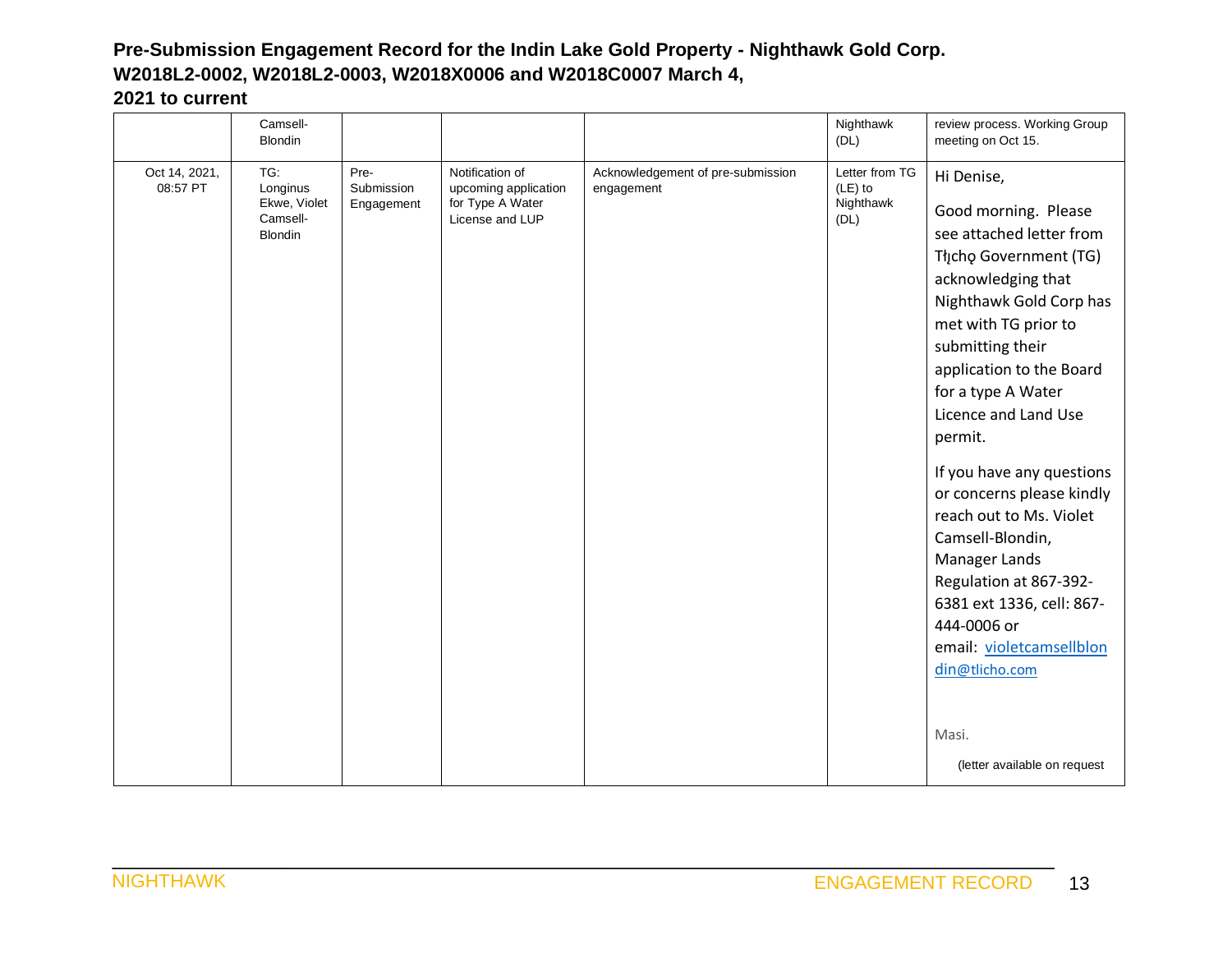|                           | Camsell-<br><b>Blondin</b>                                    |                                  |                                                                                |                                                 | Nighthawk<br>(DL)                              | review process. Working Group<br>meeting on Oct 15.                                                                                                                                                                                                                                                                                                                                                                                                                                                                               |
|---------------------------|---------------------------------------------------------------|----------------------------------|--------------------------------------------------------------------------------|-------------------------------------------------|------------------------------------------------|-----------------------------------------------------------------------------------------------------------------------------------------------------------------------------------------------------------------------------------------------------------------------------------------------------------------------------------------------------------------------------------------------------------------------------------------------------------------------------------------------------------------------------------|
| Oct 14, 2021,<br>08:57 PT | TG:<br>Longinus<br>Ekwe, Violet<br>Camsell-<br><b>Blondin</b> | Pre-<br>Submission<br>Engagement | Notification of<br>upcoming application<br>for Type A Water<br>License and LUP | Acknowledgement of pre-submission<br>engagement | Letter from TG<br>(LE) to<br>Nighthawk<br>(DL) | Hi Denise,<br>Good morning. Please<br>see attached letter from<br>Tłįcho Government (TG)<br>acknowledging that<br>Nighthawk Gold Corp has<br>met with TG prior to<br>submitting their<br>application to the Board<br>for a type A Water<br>Licence and Land Use<br>permit.<br>If you have any questions<br>or concerns please kindly<br>reach out to Ms. Violet<br>Camsell-Blondin,<br>Manager Lands<br>Regulation at 867-392-<br>6381 ext 1336, cell: 867-<br>444-0006 or<br>email: violetcamsellblon<br>din@tlicho.com<br>Masi. |
|                           |                                                               |                                  |                                                                                |                                                 |                                                | (letter available on request                                                                                                                                                                                                                                                                                                                                                                                                                                                                                                      |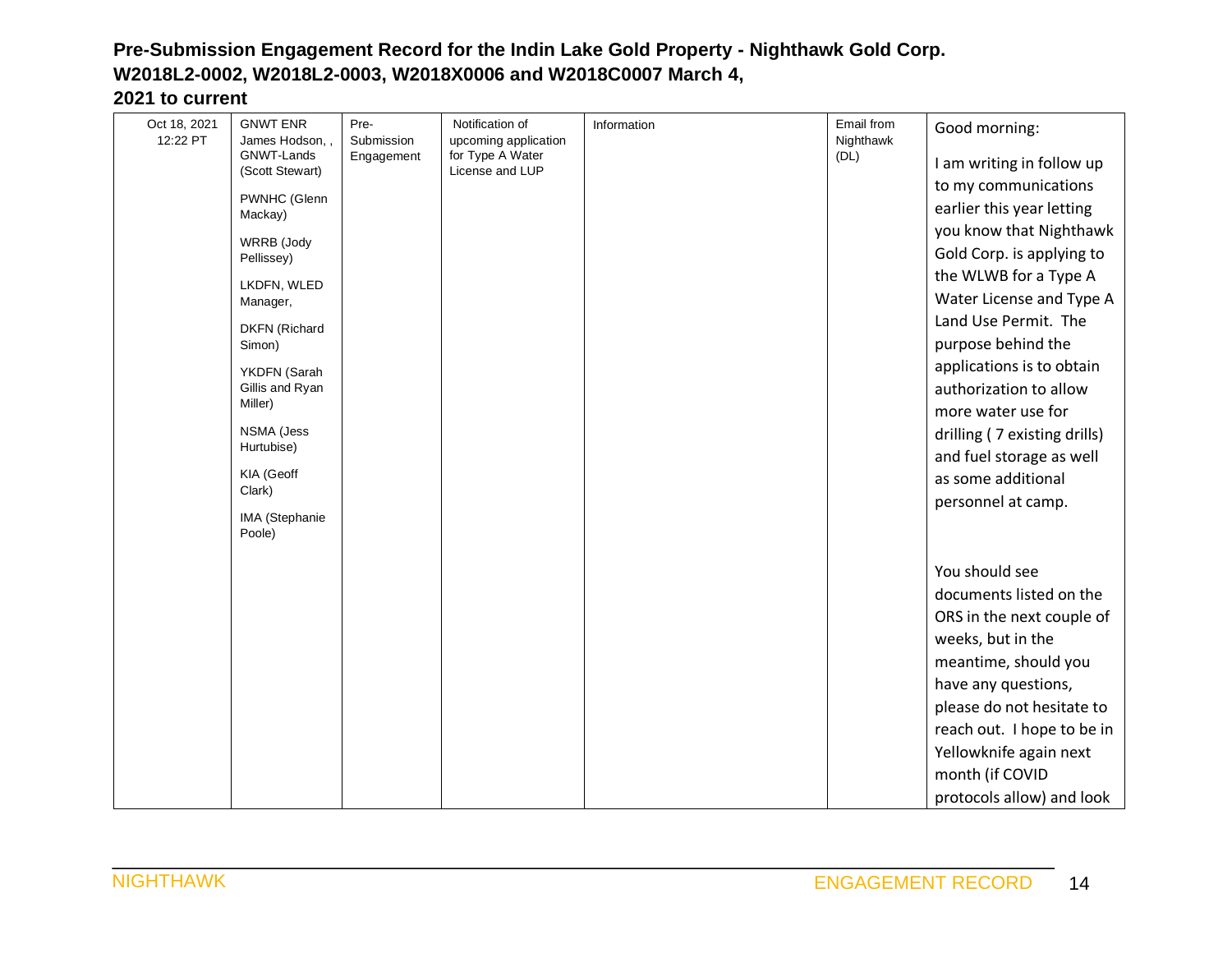| Oct 18, 2021 | <b>GNWT ENR</b>            | Pre-                               | Notification of  | Information | Email from    |                              |
|--------------|----------------------------|------------------------------------|------------------|-------------|---------------|------------------------------|
| 12:22 PT     | James Hodson, .            | Submission<br>upcoming application |                  | Nighthawk   | Good morning: |                              |
|              | GNWT-Lands                 | Engagement                         | for Type A Water |             | (DL)          | I am writing in follow up    |
|              | (Scott Stewart)            |                                    | License and LUP  |             |               | to my communications         |
|              | PWNHC (Glenn               |                                    |                  |             |               | earlier this year letting    |
|              | Mackay)                    |                                    |                  |             |               | you know that Nighthawk      |
|              | WRRB (Jody                 |                                    |                  |             |               | Gold Corp. is applying to    |
|              | Pellissey)                 |                                    |                  |             |               | the WLWB for a Type A        |
|              | LKDFN, WLED                |                                    |                  |             |               | Water License and Type A     |
|              | Manager,                   |                                    |                  |             |               | Land Use Permit. The         |
|              | <b>DKFN</b> (Richard       |                                    |                  |             |               | purpose behind the           |
|              | Simon)                     |                                    |                  |             |               |                              |
|              | YKDFN (Sarah               |                                    |                  |             |               | applications is to obtain    |
|              | Gillis and Ryan<br>Miller) |                                    |                  |             |               | authorization to allow       |
|              |                            |                                    |                  |             |               | more water use for           |
|              | NSMA (Jess<br>Hurtubise)   |                                    |                  |             |               | drilling (7 existing drills) |
|              |                            |                                    |                  |             |               | and fuel storage as well     |
|              | KIA (Geoff<br>Clark)       |                                    |                  |             |               | as some additional           |
|              |                            |                                    |                  |             |               | personnel at camp.           |
|              | IMA (Stephanie<br>Poole)   |                                    |                  |             |               |                              |
|              |                            |                                    |                  |             |               |                              |
|              |                            |                                    |                  |             |               | You should see               |
|              |                            |                                    |                  |             |               | documents listed on the      |
|              |                            |                                    |                  |             |               | ORS in the next couple of    |
|              |                            |                                    |                  |             |               | weeks, but in the            |
|              |                            |                                    |                  |             |               | meantime, should you         |
|              |                            |                                    |                  |             |               | have any questions,          |
|              |                            |                                    |                  |             |               | please do not hesitate to    |
|              |                            |                                    |                  |             |               | reach out. I hope to be in   |
|              |                            |                                    |                  |             |               | Yellowknife again next       |
|              |                            |                                    |                  |             |               | month (if COVID              |
|              |                            |                                    |                  |             |               | protocols allow) and look    |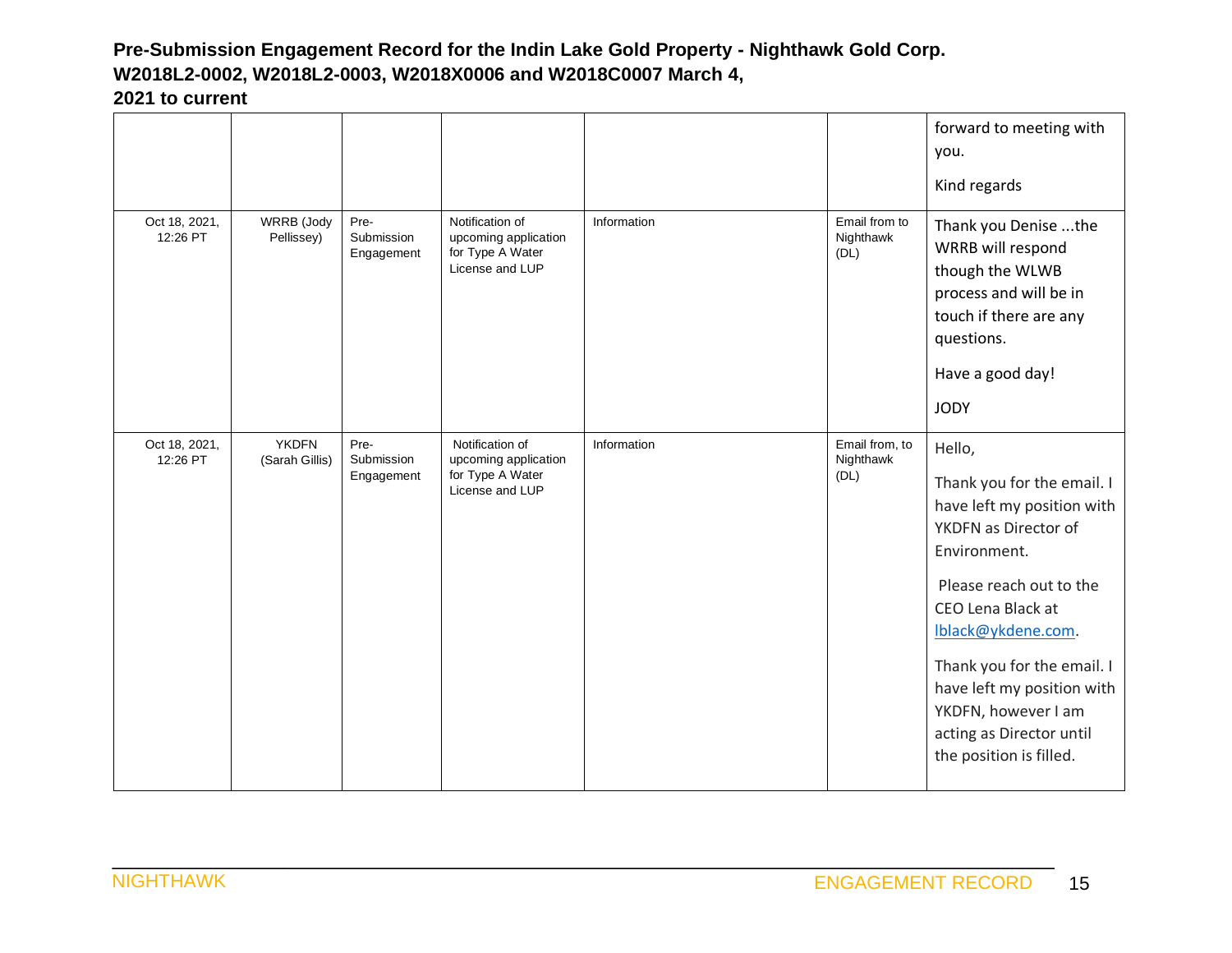|                           |                                |                                  |                                                                                |             |                                     | forward to meeting with<br>you.<br>Kind regards                                                                                                                                                                                                                                                                            |
|---------------------------|--------------------------------|----------------------------------|--------------------------------------------------------------------------------|-------------|-------------------------------------|----------------------------------------------------------------------------------------------------------------------------------------------------------------------------------------------------------------------------------------------------------------------------------------------------------------------------|
| Oct 18, 2021,<br>12:26 PT | WRRB (Jody<br>Pellissey)       | Pre-<br>Submission<br>Engagement | Notification of<br>upcoming application<br>for Type A Water<br>License and LUP | Information | Email from to<br>Nighthawk<br>(DL)  | Thank you Denise the<br>WRRB will respond<br>though the WLWB<br>process and will be in<br>touch if there are any<br>questions.<br>Have a good day!<br><b>JODY</b>                                                                                                                                                          |
| Oct 18, 2021,<br>12:26 PT | <b>YKDFN</b><br>(Sarah Gillis) | Pre-<br>Submission<br>Engagement | Notification of<br>upcoming application<br>for Type A Water<br>License and LUP | Information | Email from, to<br>Nighthawk<br>(DL) | Hello,<br>Thank you for the email. I<br>have left my position with<br>YKDFN as Director of<br>Environment.<br>Please reach out to the<br>CEO Lena Black at<br>lblack@ykdene.com.<br>Thank you for the email. I<br>have left my position with<br>YKDFN, however I am<br>acting as Director until<br>the position is filled. |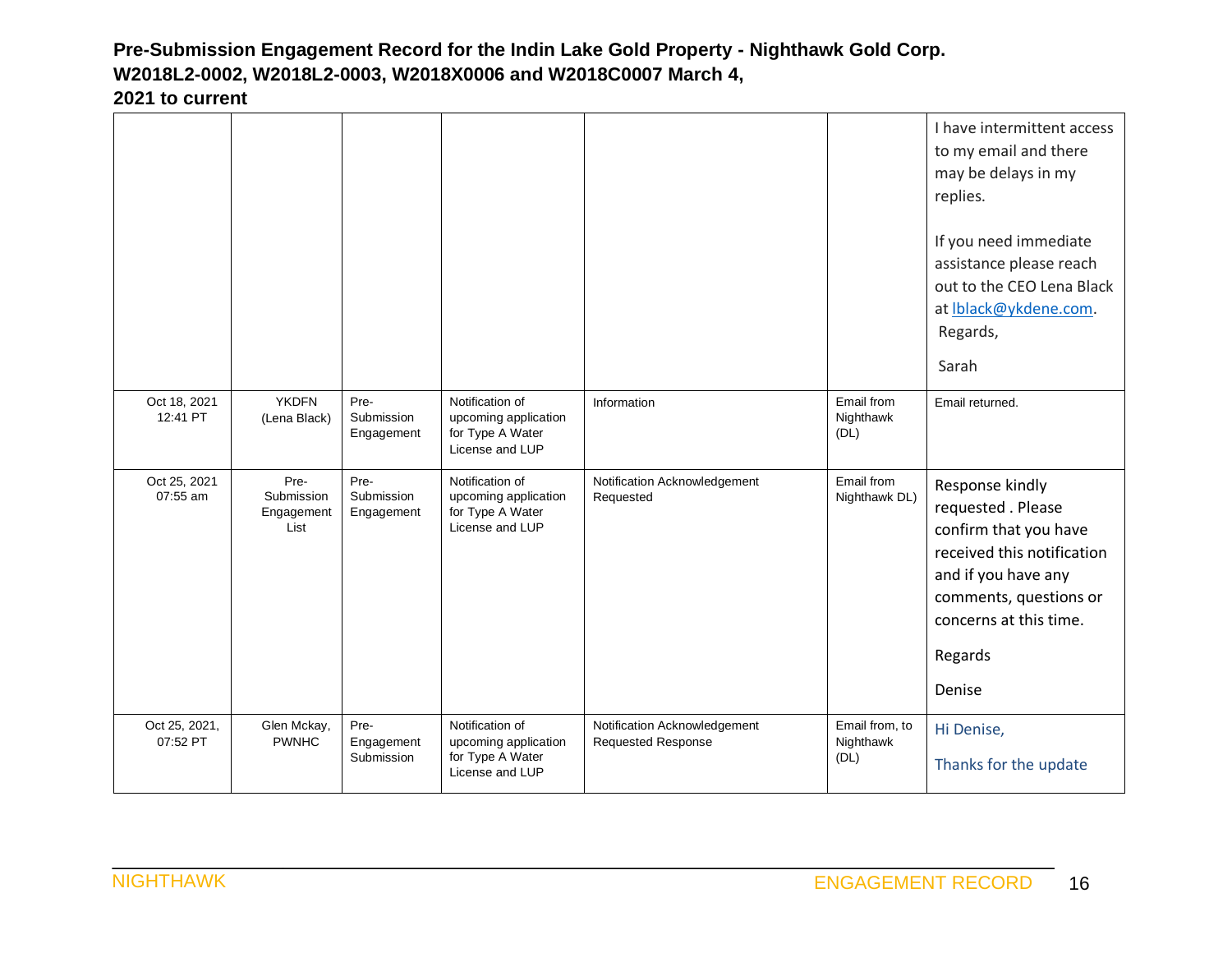|                           |                                          |                                  |                                                                                |                                                           |                                     | I have intermittent access<br>to my email and there<br>may be delays in my<br>replies.<br>If you need immediate<br>assistance please reach<br>out to the CEO Lena Black<br>at Iblack@ykdene.com.<br>Regards,<br>Sarah |
|---------------------------|------------------------------------------|----------------------------------|--------------------------------------------------------------------------------|-----------------------------------------------------------|-------------------------------------|-----------------------------------------------------------------------------------------------------------------------------------------------------------------------------------------------------------------------|
| Oct 18, 2021<br>12:41 PT  | <b>YKDFN</b><br>(Lena Black)             | Pre-<br>Submission<br>Engagement | Notification of<br>upcoming application<br>for Type A Water<br>License and LUP | Information                                               | Email from<br>Nighthawk<br>(DL)     | Email returned.                                                                                                                                                                                                       |
| Oct 25, 2021<br>07:55 am  | Pre-<br>Submission<br>Engagement<br>List | Pre-<br>Submission<br>Engagement | Notification of<br>upcoming application<br>for Type A Water<br>License and LUP | Notification Acknowledgement<br>Requested                 | Email from<br>Nighthawk DL)         | Response kindly<br>requested . Please<br>confirm that you have<br>received this notification<br>and if you have any<br>comments, questions or<br>concerns at this time.<br>Regards<br>Denise                          |
| Oct 25, 2021,<br>07:52 PT | Glen Mckay,<br><b>PWNHC</b>              | Pre-<br>Engagement<br>Submission | Notification of<br>upcoming application<br>for Type A Water<br>License and LUP | Notification Acknowledgement<br><b>Requested Response</b> | Email from, to<br>Nighthawk<br>(DL) | Hi Denise,<br>Thanks for the update                                                                                                                                                                                   |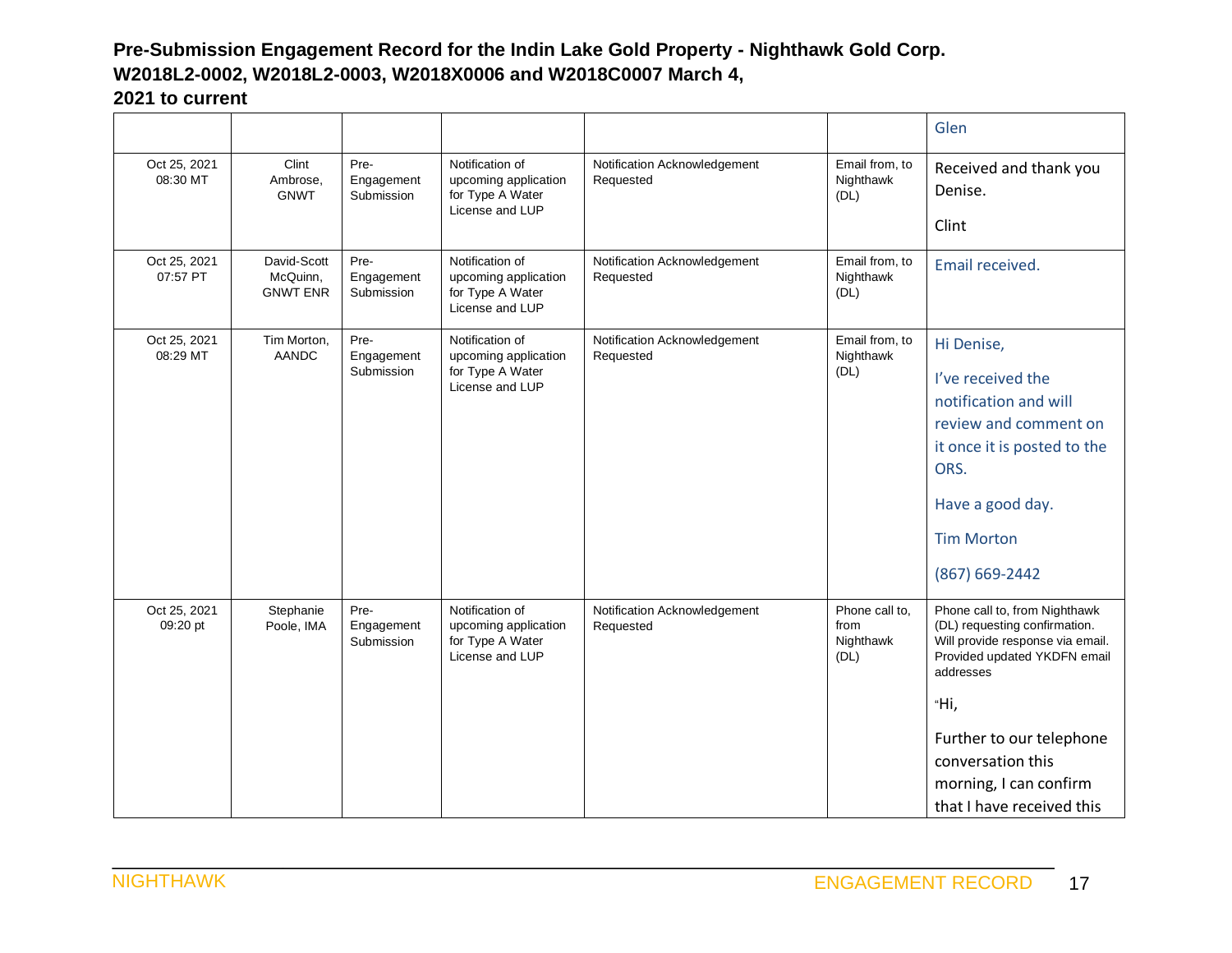|                          |                                            |                                  |                                                                                |                                           |                                             | Glen                                                                                                                                                                                                                                                            |
|--------------------------|--------------------------------------------|----------------------------------|--------------------------------------------------------------------------------|-------------------------------------------|---------------------------------------------|-----------------------------------------------------------------------------------------------------------------------------------------------------------------------------------------------------------------------------------------------------------------|
| Oct 25, 2021<br>08:30 MT | Clint<br>Ambrose,<br><b>GNWT</b>           | Pre-<br>Engagement<br>Submission | Notification of<br>upcoming application<br>for Type A Water<br>License and LUP | Notification Acknowledgement<br>Requested | Email from, to<br>Nighthawk<br>(DL)         | Received and thank you<br>Denise.<br>Clint                                                                                                                                                                                                                      |
| Oct 25, 2021<br>07:57 PT | David-Scott<br>McQuinn,<br><b>GNWT ENR</b> | Pre-<br>Engagement<br>Submission | Notification of<br>upcoming application<br>for Type A Water<br>License and LUP | Notification Acknowledgement<br>Requested | Email from, to<br>Nighthawk<br>(DL)         | Email received.                                                                                                                                                                                                                                                 |
| Oct 25, 2021<br>08:29 MT | Tim Morton,<br><b>AANDC</b>                | Pre-<br>Engagement<br>Submission | Notification of<br>upcoming application<br>for Type A Water<br>License and LUP | Notification Acknowledgement<br>Requested | Email from, to<br>Nighthawk<br>(DL)         | Hi Denise,<br>I've received the<br>notification and will<br>review and comment on<br>it once it is posted to the<br>ORS.<br>Have a good day.<br><b>Tim Morton</b><br>(867) 669-2442                                                                             |
| Oct 25, 2021<br>09:20 pt | Stephanie<br>Poole, IMA                    | Pre-<br>Engagement<br>Submission | Notification of<br>upcoming application<br>for Type A Water<br>License and LUP | Notification Acknowledgement<br>Requested | Phone call to,<br>from<br>Nighthawk<br>(DL) | Phone call to, from Nighthawk<br>(DL) requesting confirmation.<br>Will provide response via email.<br>Provided updated YKDFN email<br>addresses<br>"Нi,<br>Further to our telephone<br>conversation this<br>morning, I can confirm<br>that I have received this |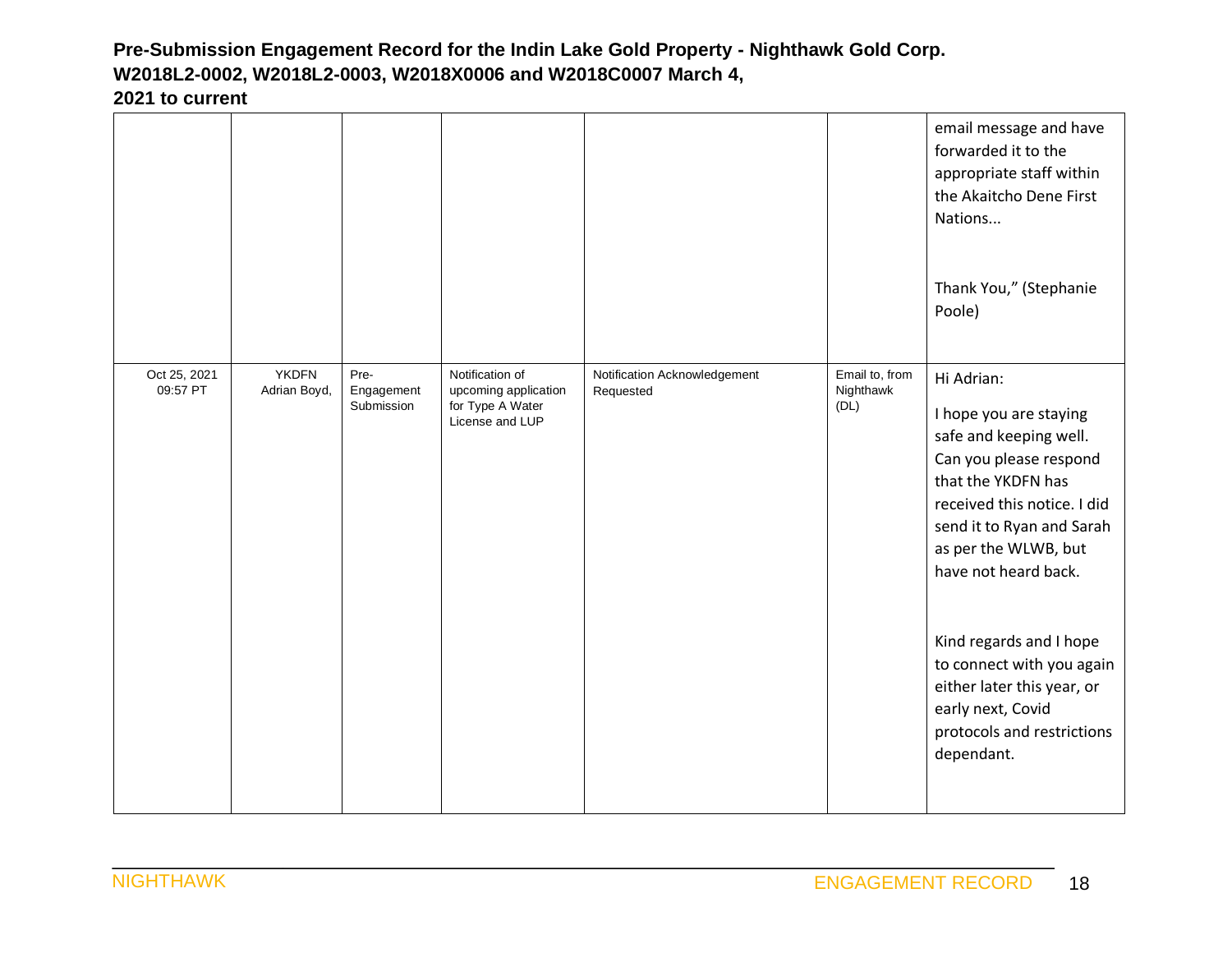|                          |                              |                                  |                                                                                |                                           |                                     | email message and have<br>forwarded it to the<br>appropriate staff within<br>the Akaitcho Dene First<br>Nations<br>Thank You," (Stephanie<br>Poole)                                                                                                                                                                                                                               |
|--------------------------|------------------------------|----------------------------------|--------------------------------------------------------------------------------|-------------------------------------------|-------------------------------------|-----------------------------------------------------------------------------------------------------------------------------------------------------------------------------------------------------------------------------------------------------------------------------------------------------------------------------------------------------------------------------------|
| Oct 25, 2021<br>09:57 PT | <b>YKDFN</b><br>Adrian Boyd, | Pre-<br>Engagement<br>Submission | Notification of<br>upcoming application<br>for Type A Water<br>License and LUP | Notification Acknowledgement<br>Requested | Email to, from<br>Nighthawk<br>(DL) | Hi Adrian:<br>I hope you are staying<br>safe and keeping well.<br>Can you please respond<br>that the YKDFN has<br>received this notice. I did<br>send it to Ryan and Sarah<br>as per the WLWB, but<br>have not heard back.<br>Kind regards and I hope<br>to connect with you again<br>either later this year, or<br>early next, Covid<br>protocols and restrictions<br>dependant. |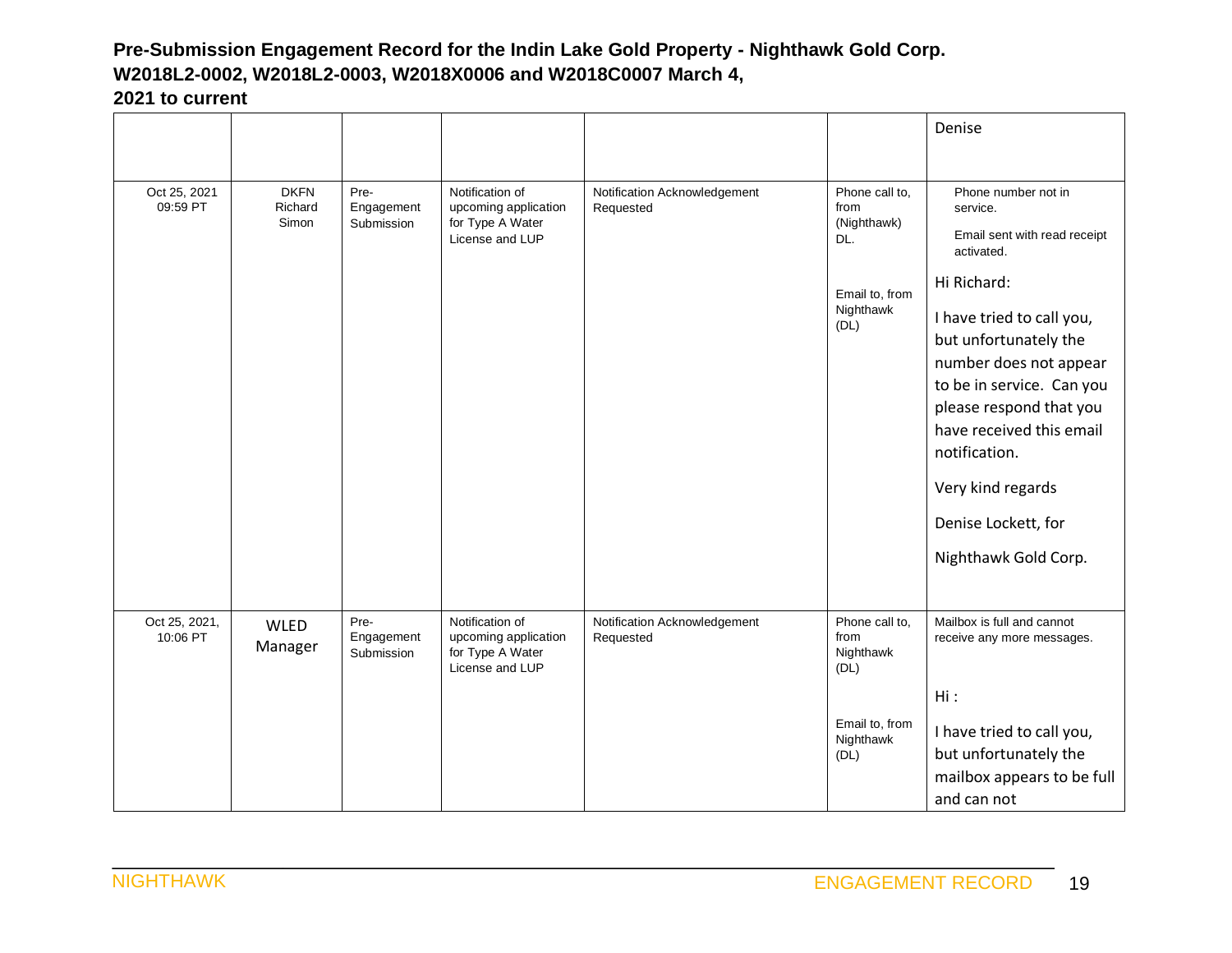|                           |                                 |                                  |                                                                                |                                           |                                                                                     | Denise                                                                                                                                                                                                                                                                                                                                                |
|---------------------------|---------------------------------|----------------------------------|--------------------------------------------------------------------------------|-------------------------------------------|-------------------------------------------------------------------------------------|-------------------------------------------------------------------------------------------------------------------------------------------------------------------------------------------------------------------------------------------------------------------------------------------------------------------------------------------------------|
|                           |                                 |                                  |                                                                                |                                           |                                                                                     |                                                                                                                                                                                                                                                                                                                                                       |
| Oct 25, 2021<br>09:59 PT  | <b>DKFN</b><br>Richard<br>Simon | Pre-<br>Engagement<br>Submission | Notification of<br>upcoming application<br>for Type A Water<br>License and LUP | Notification Acknowledgement<br>Requested | Phone call to,<br>from<br>(Nighthawk)<br>DL.<br>Email to, from<br>Nighthawk<br>(DL) | Phone number not in<br>service.<br>Email sent with read receipt<br>activated.<br>Hi Richard:<br>I have tried to call you,<br>but unfortunately the<br>number does not appear<br>to be in service. Can you<br>please respond that you<br>have received this email<br>notification.<br>Very kind regards<br>Denise Lockett, for<br>Nighthawk Gold Corp. |
| Oct 25, 2021,<br>10:06 PT | <b>WLED</b><br>Manager          | Pre-<br>Engagement<br>Submission | Notification of<br>upcoming application<br>for Type A Water<br>License and LUP | Notification Acknowledgement<br>Requested | Phone call to,<br>from<br>Nighthawk<br>(DL)<br>Email to, from<br>Nighthawk<br>(DL)  | Mailbox is full and cannot<br>receive any more messages.<br>Hi:<br>I have tried to call you,<br>but unfortunately the<br>mailbox appears to be full<br>and can not                                                                                                                                                                                    |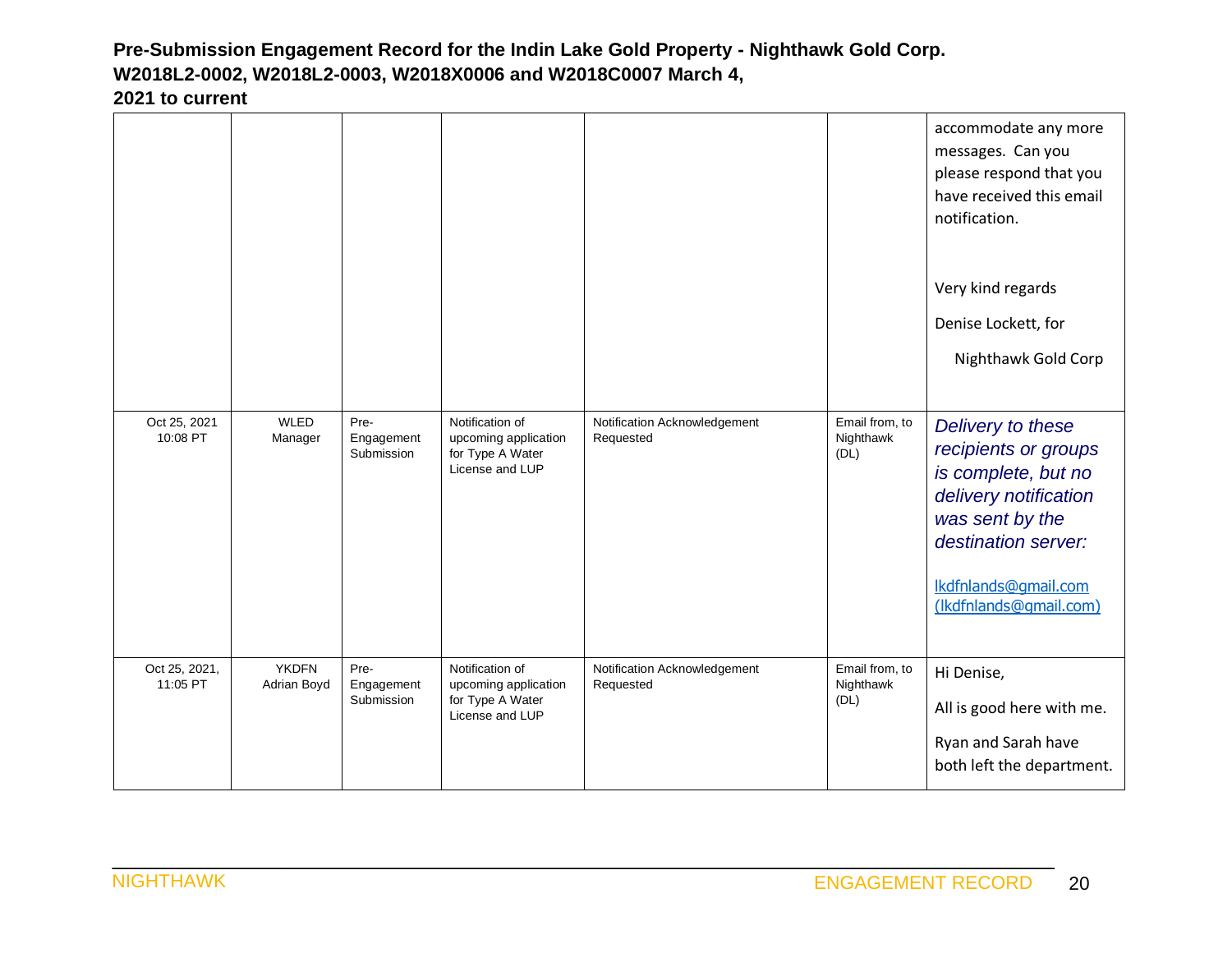|                           |                             |                                  |                                                                                |                                           |                                     | accommodate any more<br>messages. Can you<br>please respond that you<br>have received this email<br>notification.<br>Very kind regards<br>Denise Lockett, for<br>Nighthawk Gold Corp  |
|---------------------------|-----------------------------|----------------------------------|--------------------------------------------------------------------------------|-------------------------------------------|-------------------------------------|---------------------------------------------------------------------------------------------------------------------------------------------------------------------------------------|
| Oct 25, 2021<br>10:08 PT  | <b>WLED</b><br>Manager      | Pre-<br>Engagement<br>Submission | Notification of<br>upcoming application<br>for Type A Water<br>License and LUP | Notification Acknowledgement<br>Requested | Email from, to<br>Nighthawk<br>(DL) | Delivery to these<br>recipients or groups<br>is complete, but no<br>delivery notification<br>was sent by the<br>destination server:<br>lkdfnlands@gmail.com<br>(Ikdfnlands@gmail.com) |
| Oct 25, 2021,<br>11:05 PT | <b>YKDFN</b><br>Adrian Boyd | Pre-<br>Engagement<br>Submission | Notification of<br>upcoming application<br>for Type A Water<br>License and LUP | Notification Acknowledgement<br>Requested | Email from, to<br>Nighthawk<br>(DL) | Hi Denise,<br>All is good here with me.<br>Ryan and Sarah have<br>both left the department.                                                                                           |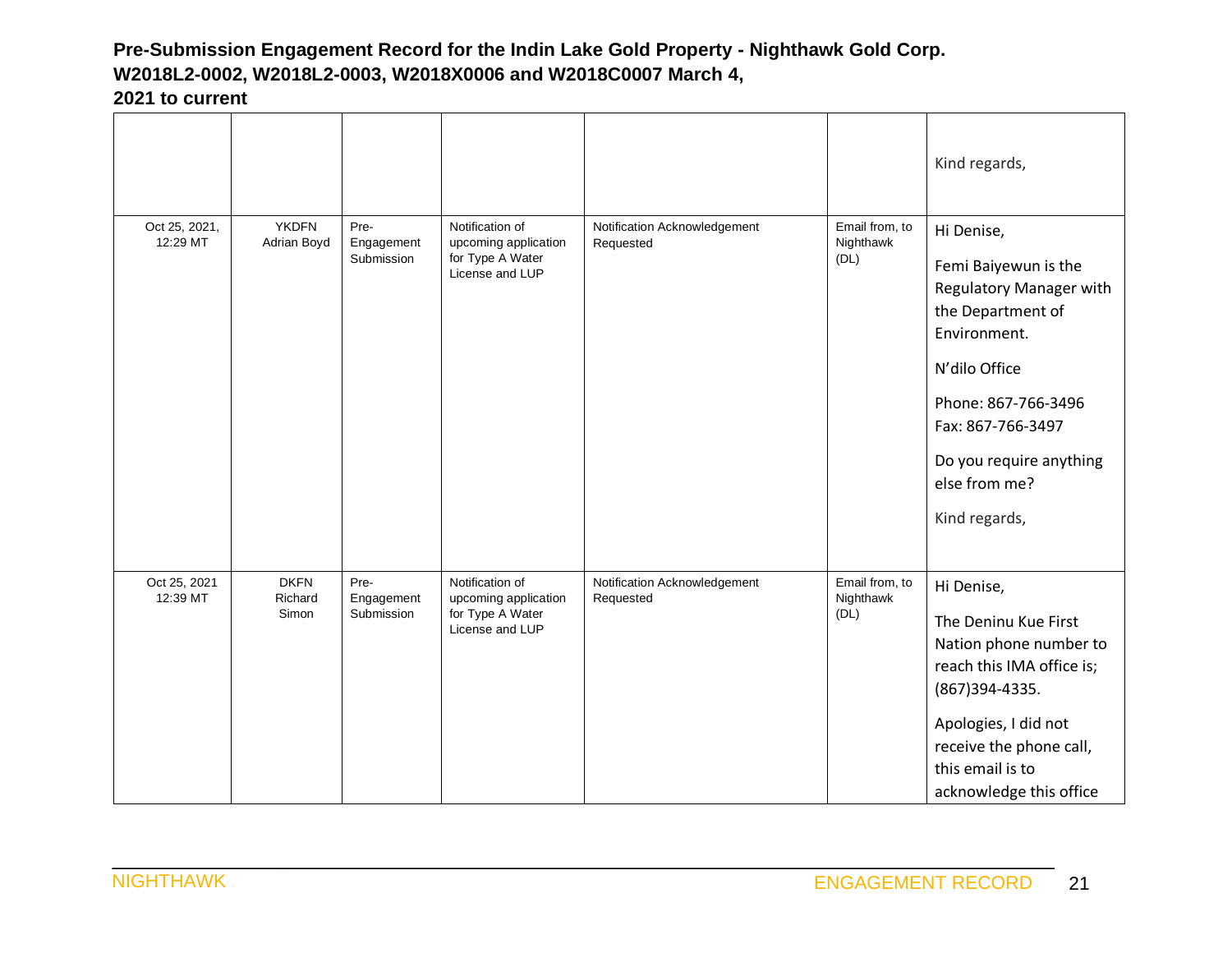|                           |                                 |                                  |                                                                                |                                           |                                     | Kind regards,                                                                                                                                                                                                                |
|---------------------------|---------------------------------|----------------------------------|--------------------------------------------------------------------------------|-------------------------------------------|-------------------------------------|------------------------------------------------------------------------------------------------------------------------------------------------------------------------------------------------------------------------------|
| Oct 25, 2021,<br>12:29 MT | <b>YKDFN</b><br>Adrian Boyd     | Pre-<br>Engagement<br>Submission | Notification of<br>upcoming application<br>for Type A Water<br>License and LUP | Notification Acknowledgement<br>Requested | Email from, to<br>Nighthawk<br>(DL) | Hi Denise,<br>Femi Baiyewun is the<br>Regulatory Manager with<br>the Department of<br>Environment.<br>N'dilo Office<br>Phone: 867-766-3496<br>Fax: 867-766-3497<br>Do you require anything<br>else from me?<br>Kind regards, |
| Oct 25, 2021<br>12:39 MT  | <b>DKFN</b><br>Richard<br>Simon | Pre-<br>Engagement<br>Submission | Notification of<br>upcoming application<br>for Type A Water<br>License and LUP | Notification Acknowledgement<br>Requested | Email from, to<br>Nighthawk<br>(DL) | Hi Denise,<br>The Deninu Kue First<br>Nation phone number to<br>reach this IMA office is;<br>(867) 394-4335.<br>Apologies, I did not<br>receive the phone call,<br>this email is to<br>acknowledge this office               |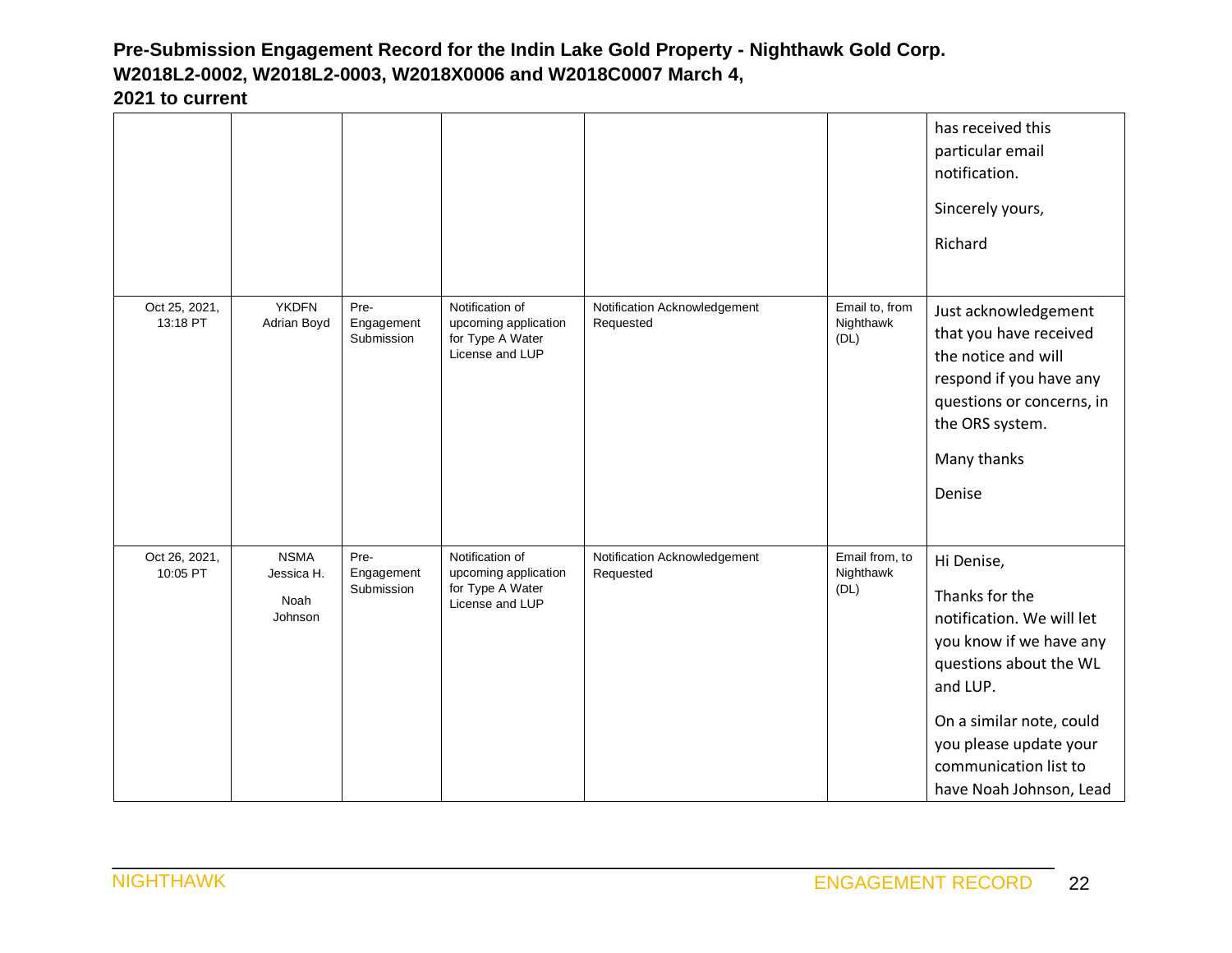|                           |                                              |                                  |                                                                                |                                           |                                     | has received this<br>particular email<br>notification.<br>Sincerely yours,<br>Richard                                                                                                                                                |
|---------------------------|----------------------------------------------|----------------------------------|--------------------------------------------------------------------------------|-------------------------------------------|-------------------------------------|--------------------------------------------------------------------------------------------------------------------------------------------------------------------------------------------------------------------------------------|
| Oct 25, 2021,<br>13:18 PT | <b>YKDFN</b><br>Adrian Boyd                  | Pre-<br>Engagement<br>Submission | Notification of<br>upcoming application<br>for Type A Water<br>License and LUP | Notification Acknowledgement<br>Requested | Email to, from<br>Nighthawk<br>(DL) | Just acknowledgement<br>that you have received<br>the notice and will<br>respond if you have any<br>questions or concerns, in<br>the ORS system.<br>Many thanks<br>Denise                                                            |
| Oct 26, 2021,<br>10:05 PT | <b>NSMA</b><br>Jessica H.<br>Noah<br>Johnson | Pre-<br>Engagement<br>Submission | Notification of<br>upcoming application<br>for Type A Water<br>License and LUP | Notification Acknowledgement<br>Requested | Email from, to<br>Nighthawk<br>(DL) | Hi Denise,<br>Thanks for the<br>notification. We will let<br>you know if we have any<br>questions about the WL<br>and LUP.<br>On a similar note, could<br>you please update your<br>communication list to<br>have Noah Johnson, Lead |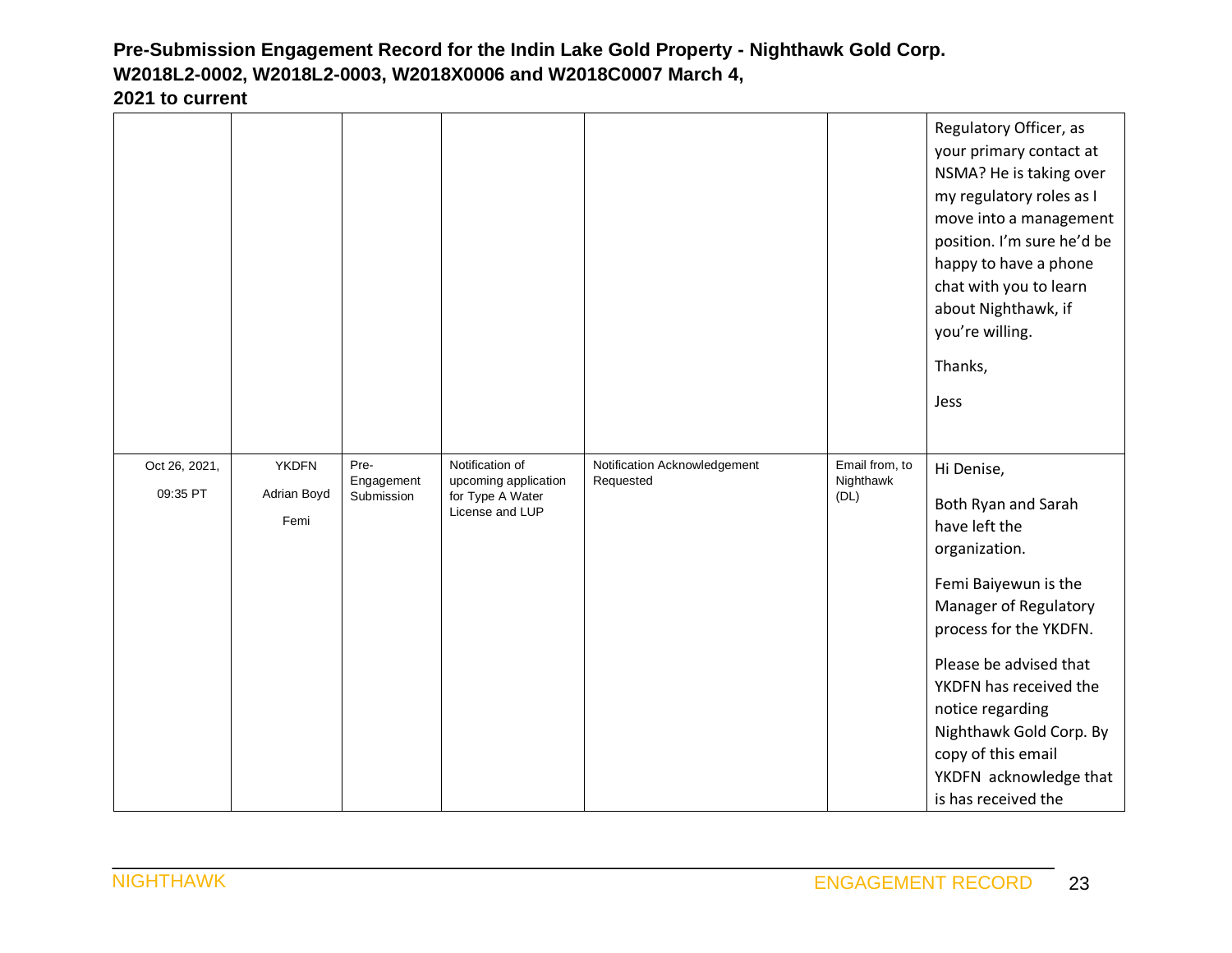| n to current :            |                                     |                                  |                                                                                |                                           |                                     |
|---------------------------|-------------------------------------|----------------------------------|--------------------------------------------------------------------------------|-------------------------------------------|-------------------------------------|
|                           |                                     |                                  |                                                                                |                                           |                                     |
| Oct 26, 2021,<br>09:35 PT | <b>YKDFN</b><br>Adrian Boyd<br>Femi | Pre-<br>Engagement<br>Submission | Notification of<br>upcoming application<br>for Type A Water<br>License and LUP | Notification Acknowledgement<br>Requested | Email from, to<br>Nighthawk<br>(DL) |

move into a management position. I'm sure he'd be happy to have a phone chat with you to learn about Nighthawk, if you're willing. Thanks, Jess Hi Denise, Both Ryan and Sarah have left the organization. Femi Baiyewun is the Manager of Regulatory process for the YKDFN. Please be advised that YKDFN has received the notice regarding Nighthawk Gold Corp. By copy of this email YKDFN acknowledge that is has received the

Regulatory Officer, as your primary contact at NSMA? He is taking over my regulatory roles as I